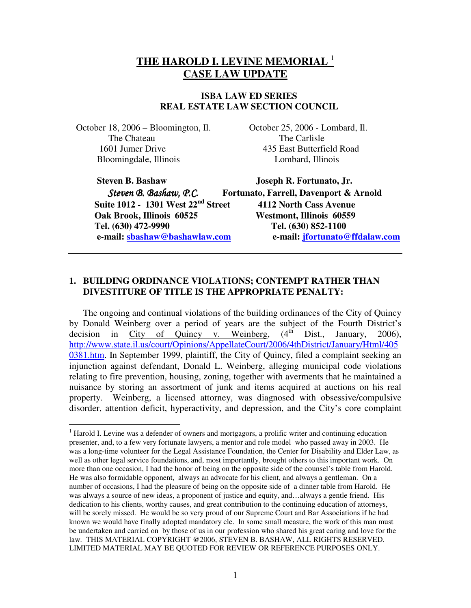# **THE HAROLD I. LEVINE MEMORIAL** <sup>1</sup> **CASE LAW UPDATE**

#### **ISBA LAW ED SERIES REAL ESTATE LAW SECTION COUNCIL**

 October 18, 2006 – Bloomington, Il. October 25, 2006 - Lombard, Il. The Chateau The Carlisle Bloomingdale, Illinois Lombard, Illinois

1601 Jumer Drive 435 East Butterfield Road

 $\overline{a}$ 

 **Suite 1012 - 1301 West 22nd Street 4112 North Cass Avenue Oak Brook, Illinois 60525 Westmont, Illinois 60559 Tel. (630) 472-9990 Tel. (630) 852-1100** 

**Steven B. Bashaw Joseph R. Fortunato, Jr.** 

 Steven B. Bashaw, P.C. **Fortunato, Farrell, Davenport & Arnold e-mail: sbashaw@bashawlaw.com e-mail: jfortunato@ffdalaw.com**

# **1. BUILDING ORDINANCE VIOLATIONS; CONTEMPT RATHER THAN DIVESTITURE OF TITLE IS THE APPROPRIATE PENALTY:**

The ongoing and continual violations of the building ordinances of the City of Quincy by Donald Weinberg over a period of years are the subject of the Fourth District's decision in City of Ouincy v. Weinberg,  $(4<sup>th</sup> Dist., January, 2006)$ , decision in City of Quincy v. Weinberg,  $(4<sup>th</sup>$  Dist., January, 2006), http://www.state.il.us/court/Opinions/AppellateCourt/2006/4thDistrict/January/Html/405 0381.htm. In September 1999, plaintiff, the City of Quincy, filed a complaint seeking an injunction against defendant, Donald L. Weinberg, alleging municipal code violations relating to fire prevention, housing, zoning, together with averments that he maintained a nuisance by storing an assortment of junk and items acquired at auctions on his real property. Weinberg, a licensed attorney, was diagnosed with obsessive/compulsive disorder, attention deficit, hyperactivity, and depression, and the City's core complaint

<sup>&</sup>lt;sup>1</sup> Harold I. Levine was a defender of owners and mortgagors, a prolific writer and continuing education presenter, and, to a few very fortunate lawyers, a mentor and role model who passed away in 2003. He was a long-time volunteer for the Legal Assistance Foundation, the Center for Disability and Elder Law, as well as other legal service foundations, and, most importantly, brought others to this important work. On more than one occasion, I had the honor of being on the opposite side of the counsel's table from Harold. He was also formidable opponent, always an advocate for his client, and always a gentleman. On a number of occasions, I had the pleasure of being on the opposite side of a dinner table from Harold. He was always a source of new ideas, a proponent of justice and equity, and…always a gentle friend. His dedication to his clients, worthy causes, and great contribution to the continuing education of attorneys, will be sorely missed. He would be so very proud of our Supreme Court and Bar Associations if he had known we would have finally adopted mandatory cle. In some small measure, the work of this man must be undertaken and carried on by those of us in our profession who shared his great caring and love for the law. THIS MATERIAL COPYRIGHT @2006, STEVEN B. BASHAW, ALL RIGHTS RESERVED. LIMITED MATERIAL MAY BE QUOTED FOR REVIEW OR REFERENCE PURPOSES ONLY.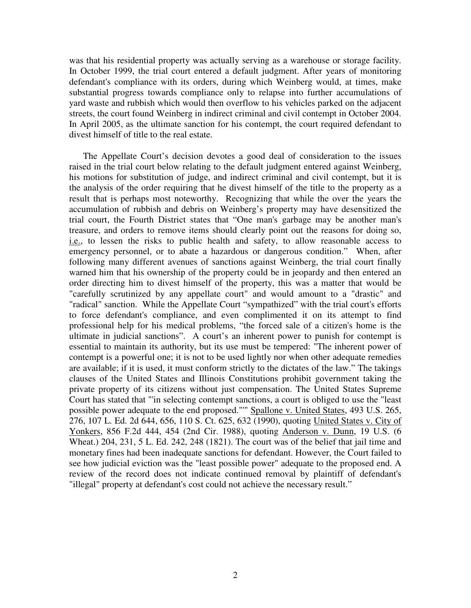was that his residential property was actually serving as a warehouse or storage facility. In October 1999, the trial court entered a default judgment. After years of monitoring defendant's compliance with its orders, during which Weinberg would, at times, make substantial progress towards compliance only to relapse into further accumulations of yard waste and rubbish which would then overflow to his vehicles parked on the adjacent streets, the court found Weinberg in indirect criminal and civil contempt in October 2004. In April 2005, as the ultimate sanction for his contempt, the court required defendant to divest himself of title to the real estate.

The Appellate Court's decision devotes a good deal of consideration to the issues raised in the trial court below relating to the default judgment entered against Weinberg, his motions for substitution of judge, and indirect criminal and civil contempt, but it is the analysis of the order requiring that he divest himself of the title to the property as a result that is perhaps most noteworthy. Recognizing that while the over the years the accumulation of rubbish and debris on Weinberg's property may have desensitized the trial court, the Fourth District states that "One man's garbage may be another man's treasure, and orders to remove items should clearly point out the reasons for doing so, i.e., to lessen the risks to public health and safety, to allow reasonable access to emergency personnel, or to abate a hazardous or dangerous condition." When, after following many different avenues of sanctions against Weinberg, the trial court finally warned him that his ownership of the property could be in jeopardy and then entered an order directing him to divest himself of the property, this was a matter that would be "carefully scrutinized by any appellate court" and would amount to a "drastic" and "radical" sanction. While the Appellate Court "sympathized" with the trial court's efforts to force defendant's compliance, and even complimented it on its attempt to find professional help for his medical problems, "the forced sale of a citizen's home is the ultimate in judicial sanctions". A court's an inherent power to punish for contempt is essential to maintain its authority, but its use must be tempered: "The inherent power of contempt is a powerful one; it is not to be used lightly nor when other adequate remedies are available; if it is used, it must conform strictly to the dictates of the law." The takings clauses of the United States and Illinois Constitutions prohibit government taking the private property of its citizens without just compensation. The United States Supreme Court has stated that "'in selecting contempt sanctions, a court is obliged to use the "least possible power adequate to the end proposed."'" Spallone v. United States, 493 U.S. 265, 276, 107 L. Ed. 2d 644, 656, 110 S. Ct. 625, 632 (1990), quoting United States v. City of Yonkers, 856 F.2d 444, 454 (2nd Cir. 1988), quoting Anderson v. Dunn, 19 U.S. (6 Wheat.) 204, 231, 5 L. Ed. 242, 248 (1821). The court was of the belief that jail time and monetary fines had been inadequate sanctions for defendant. However, the Court failed to see how judicial eviction was the "least possible power" adequate to the proposed end. A review of the record does not indicate continued removal by plaintiff of defendant's "illegal" property at defendant's cost could not achieve the necessary result."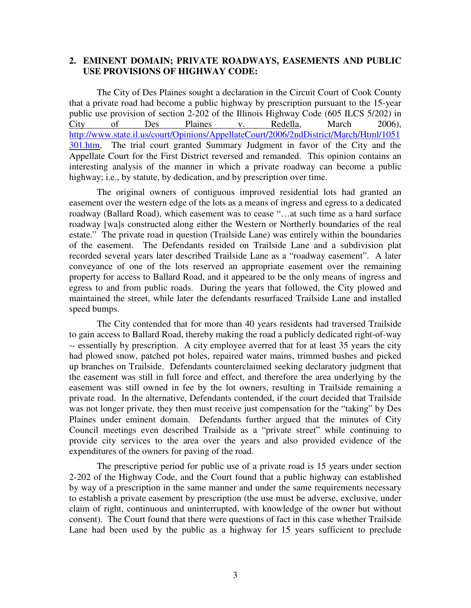#### **2. EMINENT DOMAIN; PRIVATE ROADWAYS, EASEMENTS AND PUBLIC USE PROVISIONS OF HIGHWAY CODE:**

The City of Des Plaines sought a declaration in the Circuit Court of Cook County that a private road had become a public highway by prescription pursuant to the 15-year public use provision of section 2-202 of the Illinois Highway Code (605 ILCS 5/202) in City of Des Plaines v. Redella, March 2006), http://www.state.il.us/court/Opinions/AppellateCourt/2006/2ndDistrict/March/Html/1051 301.htm, The trial court granted Summary Judgment in favor of the City and the Appellate Court for the First District reversed and remanded. This opinion contains an interesting analysis of the manner in which a private roadway can become a public highway; i.e., by statute, by dedication, and by prescription over time.

The original owners of contiguous improved residential lots had granted an easement over the western edge of the lots as a means of ingress and egress to a dedicated roadway (Ballard Road), which easement was to cease "...at such time as a hard surface roadway [wa]s constructed along either the Western or Northerly boundaries of the real estate." The private road in question (Trailside Lane) was entirely within the boundaries of the easement. The Defendants resided on Trailside Lane and a subdivision plat recorded several years later described Trailside Lane as a "roadway easement". A later conveyance of one of the lots reserved an appropriate easement over the remaining property for access to Ballard Road, and it appeared to be the only means of ingress and egress to and from public roads. During the years that followed, the City plowed and maintained the street, while later the defendants resurfaced Trailside Lane and installed speed bumps.

The City contended that for more than 40 years residents had traversed Trailside to gain access to Ballard Road, thereby making the road a publicly dedicated right-of-way -- essentially by prescription. A city employee averred that for at least 35 years the city had plowed snow, patched pot holes, repaired water mains, trimmed bushes and picked up branches on Trailside. Defendants counterclaimed seeking declaratory judgment that the easement was still in full force and effect, and therefore the area underlying by the easement was still owned in fee by the lot owners, resulting in Trailside remaining a private road. In the alternative, Defendants contended, if the court decided that Trailside was not longer private, they then must receive just compensation for the "taking" by Des Plaines under eminent domain. Defendants further argued that the minutes of City Council meetings even described Trailside as a "private street" while continuing to provide city services to the area over the years and also provided evidence of the expenditures of the owners for paving of the road.

The prescriptive period for public use of a private road is 15 years under section 2-202 of the Highway Code, and the Court found that a public highway can established by way of a prescription in the same manner and under the same requirements necessary to establish a private easement by prescription (the use must be adverse, exclusive, under claim of right, continuous and uninterrupted, with knowledge of the owner but without consent). The Court found that there were questions of fact in this case whether Trailside Lane had been used by the public as a highway for 15 years sufficient to preclude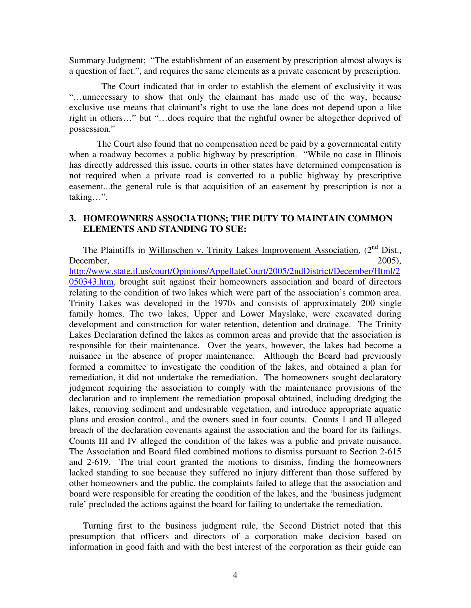Summary Judgment; "The establishment of an easement by prescription almost always is a question of fact.", and requires the same elements as a private easement by prescription.

 The Court indicated that in order to establish the element of exclusivity it was "…unnecessary to show that only the claimant has made use of the way, because exclusive use means that claimant's right to use the lane does not depend upon a like right in others…" but "…does require that the rightful owner be altogether deprived of possession."

The Court also found that no compensation need be paid by a governmental entity when a roadway becomes a public highway by prescription. "While no case in Illinois has directly addressed this issue, courts in other states have determined compensation is not required when a private road is converted to a public highway by prescriptive easement...the general rule is that acquisition of an easement by prescription is not a taking…".

### **3. HOMEOWNERS ASSOCIATIONS; THE DUTY TO MAINTAIN COMMON ELEMENTS AND STANDING TO SUE:**

The Plaintiffs in Willmschen v. Trinity Lakes Improvement Association, (2<sup>nd</sup> Dist., December, 2005), http://www.state.il.us/court/Opinions/AppellateCourt/2005/2ndDistrict/December/Html/2 050343.htm, brought suit against their homeowners association and board of directors relating to the condition of two lakes which were part of the association's common area. Trinity Lakes was developed in the 1970s and consists of approximately 200 single family homes. The two lakes, Upper and Lower Mayslake, were excavated during development and construction for water retention, detention and drainage. The Trinity Lakes Declaration defined the lakes as common areas and provide that the association is responsible for their maintenance. Over the years, however, the lakes had become a nuisance in the absence of proper maintenance. Although the Board had previously formed a committee to investigate the condition of the lakes, and obtained a plan for remediation, it did not undertake the remediation. The homeowners sought declaratory judgment requiring the association to comply with the maintenance provisions of the declaration and to implement the remediation proposal obtained, including dredging the lakes, removing sediment and undesirable vegetation, and introduce appropriate aquatic plans and erosion control., and the owners sued in four counts. Counts 1 and II alleged breach of the declaration covenants against the association and the board for its failings. Counts III and IV alleged the condition of the lakes was a public and private nuisance. The Association and Board filed combined motions to dismiss pursuant to Section 2-615 and 2-619. The trial court granted the motions to dismiss, finding the homeowners lacked standing to sue because they suffered no injury different than those suffered by other homeowners and the public, the complaints failed to allege that the association and board were responsible for creating the condition of the lakes, and the 'business judgment rule' precluded the actions against the board for failing to undertake the remediation.

Turning first to the business judgment rule, the Second District noted that this presumption that officers and directors of a corporation make decision based on information in good faith and with the best interest of the corporation as their guide can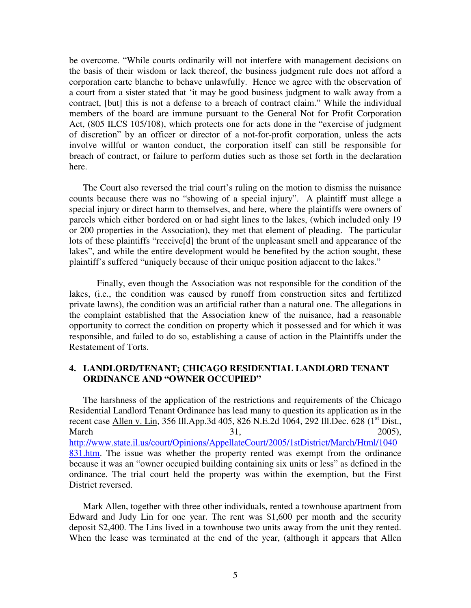be overcome. "While courts ordinarily will not interfere with management decisions on the basis of their wisdom or lack thereof, the business judgment rule does not afford a corporation carte blanche to behave unlawfully. Hence we agree with the observation of a court from a sister stated that 'it may be good business judgment to walk away from a contract, [but] this is not a defense to a breach of contract claim." While the individual members of the board are immune pursuant to the General Not for Profit Corporation Act, (805 ILCS 105/108), which protects one for acts done in the "exercise of judgment of discretion" by an officer or director of a not-for-profit corporation, unless the acts involve willful or wanton conduct, the corporation itself can still be responsible for breach of contract, or failure to perform duties such as those set forth in the declaration here.

The Court also reversed the trial court's ruling on the motion to dismiss the nuisance counts because there was no "showing of a special injury". A plaintiff must allege a special injury or direct harm to themselves, and here, where the plaintiffs were owners of parcels which either bordered on or had sight lines to the lakes, (which included only 19 or 200 properties in the Association), they met that element of pleading. The particular lots of these plaintiffs "receive[d] the brunt of the unpleasant smell and appearance of the lakes", and while the entire development would be benefited by the action sought, these plaintiff's suffered "uniquely because of their unique position adjacent to the lakes."

 Finally, even though the Association was not responsible for the condition of the lakes, (i.e., the condition was caused by runoff from construction sites and fertilized private lawns), the condition was an artificial rather than a natural one. The allegations in the complaint established that the Association knew of the nuisance, had a reasonable opportunity to correct the condition on property which it possessed and for which it was responsible, and failed to do so, establishing a cause of action in the Plaintiffs under the Restatement of Torts.

### **4. LANDLORD/TENANT; CHICAGO RESIDENTIAL LANDLORD TENANT ORDINANCE AND "OWNER OCCUPIED"**

The harshness of the application of the restrictions and requirements of the Chicago Residential Landlord Tenant Ordinance has lead many to question its application as in the recent case Allen v. Lin, 356 Ill.App.3d 405, 826 N.E.2d 1064, 292 Ill.Dec. 628 (1<sup>st</sup> Dist., March 31, 2005), http://www.state.il.us/court/Opinions/AppellateCourt/2005/1stDistrict/March/Html/1040 831.htm. The issue was whether the property rented was exempt from the ordinance because it was an "owner occupied building containing six units or less" as defined in the ordinance. The trial court held the property was within the exemption, but the First District reversed.

Mark Allen, together with three other individuals, rented a townhouse apartment from Edward and Judy Lin for one year. The rent was \$1,600 per month and the security deposit \$2,400. The Lins lived in a townhouse two units away from the unit they rented. When the lease was terminated at the end of the year, (although it appears that Allen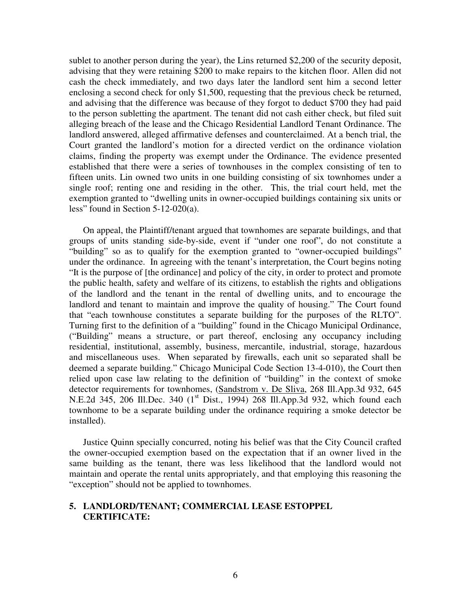sublet to another person during the year), the Lins returned \$2,200 of the security deposit, advising that they were retaining \$200 to make repairs to the kitchen floor. Allen did not cash the check immediately, and two days later the landlord sent him a second letter enclosing a second check for only \$1,500, requesting that the previous check be returned, and advising that the difference was because of they forgot to deduct \$700 they had paid to the person subletting the apartment. The tenant did not cash either check, but filed suit alleging breach of the lease and the Chicago Residential Landlord Tenant Ordinance. The landlord answered, alleged affirmative defenses and counterclaimed. At a bench trial, the Court granted the landlord's motion for a directed verdict on the ordinance violation claims, finding the property was exempt under the Ordinance. The evidence presented established that there were a series of townhouses in the complex consisting of ten to fifteen units. Lin owned two units in one building consisting of six townhomes under a single roof; renting one and residing in the other. This, the trial court held, met the exemption granted to "dwelling units in owner-occupied buildings containing six units or less" found in Section 5-12-020(a).

On appeal, the Plaintiff/tenant argued that townhomes are separate buildings, and that groups of units standing side-by-side, event if "under one roof", do not constitute a "building" so as to qualify for the exemption granted to "owner-occupied buildings" under the ordinance. In agreeing with the tenant's interpretation, the Court begins noting "It is the purpose of [the ordinance] and policy of the city, in order to protect and promote the public health, safety and welfare of its citizens, to establish the rights and obligations of the landlord and the tenant in the rental of dwelling units, and to encourage the landlord and tenant to maintain and improve the quality of housing." The Court found that "each townhouse constitutes a separate building for the purposes of the RLTO". Turning first to the definition of a "building" found in the Chicago Municipal Ordinance, ("Building" means a structure, or part thereof, enclosing any occupancy including residential, institutional, assembly, business, mercantile, industrial, storage, hazardous and miscellaneous uses. When separated by firewalls, each unit so separated shall be deemed a separate building." Chicago Municipal Code Section 13-4-010), the Court then relied upon case law relating to the definition of "building" in the context of smoke detector requirements for townhomes, (Sandstrom v. De Sliva, 268 Ill.App.3d 932, 645 N.E.2d 345, 206 Ill.Dec. 340 (1<sup>st</sup> Dist., 1994) 268 Ill.App.3d 932, which found each townhome to be a separate building under the ordinance requiring a smoke detector be installed).

Justice Quinn specially concurred, noting his belief was that the City Council crafted the owner-occupied exemption based on the expectation that if an owner lived in the same building as the tenant, there was less likelihood that the landlord would not maintain and operate the rental units appropriately, and that employing this reasoning the "exception" should not be applied to townhomes.

#### **5. LANDLORD/TENANT; COMMERCIAL LEASE ESTOPPEL CERTIFICATE:**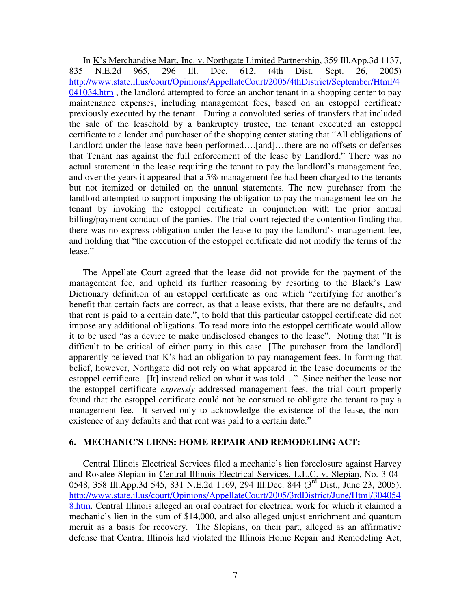In K's Merchandise Mart, Inc. v. Northgate Limited Partnership, 359 Ill.App.3d 1137, 835 N.E.2d 965, 296 Ill. Dec. 612, (4th Dist. Sept. 26, 2005) http://www.state.il.us/court/Opinions/AppellateCourt/2005/4thDistrict/September/Html/4 041034.htm, the landlord attempted to force an anchor tenant in a shopping center to pay maintenance expenses, including management fees, based on an estoppel certificate previously executed by the tenant. During a convoluted series of transfers that included the sale of the leasehold by a bankruptcy trustee, the tenant executed an estoppel certificate to a lender and purchaser of the shopping center stating that "All obligations of Landlord under the lease have been performed....[and]...there are no offsets or defenses that Tenant has against the full enforcement of the lease by Landlord." There was no actual statement in the lease requiring the tenant to pay the landlord's management fee, and over the years it appeared that a 5% management fee had been charged to the tenants but not itemized or detailed on the annual statements. The new purchaser from the landlord attempted to support imposing the obligation to pay the management fee on the tenant by invoking the estoppel certificate in conjunction with the prior annual billing/payment conduct of the parties. The trial court rejected the contention finding that there was no express obligation under the lease to pay the landlord's management fee, and holding that "the execution of the estoppel certificate did not modify the terms of the lease."

The Appellate Court agreed that the lease did not provide for the payment of the management fee, and upheld its further reasoning by resorting to the Black's Law Dictionary definition of an estoppel certificate as one which "certifying for another's benefit that certain facts are correct, as that a lease exists, that there are no defaults, and that rent is paid to a certain date.", to hold that this particular estoppel certificate did not impose any additional obligations. To read more into the estoppel certificate would allow it to be used "as a device to make undisclosed changes to the lease". Noting that "It is difficult to be critical of either party in this case. [The purchaser from the landlord] apparently believed that K's had an obligation to pay management fees. In forming that belief, however, Northgate did not rely on what appeared in the lease documents or the estoppel certificate. [It] instead relied on what it was told…" Since neither the lease nor the estoppel certificate *expressly* addressed management fees, the trial court properly found that the estoppel certificate could not be construed to obligate the tenant to pay a management fee. It served only to acknowledge the existence of the lease, the nonexistence of any defaults and that rent was paid to a certain date."

#### **6. MECHANIC'S LIENS: HOME REPAIR AND REMODELING ACT:**

Central Illinois Electrical Services filed a mechanic's lien foreclosure against Harvey and Rosalee Slepian in Central Illinois Electrical Services, L.L.C. v. Slepian, No. 3-04- 0548, 358 Ill.App.3d 545, 831 N.E.2d 1169, 294 Ill.Dec. 844 (3<sup>rd</sup> Dist., June 23, 2005), http://www.state.il.us/court/Opinions/AppellateCourt/2005/3rdDistrict/June/Html/304054 8.htm. Central Illinois alleged an oral contract for electrical work for which it claimed a mechanic's lien in the sum of \$14,000, and also alleged unjust enrichment and quantum meruit as a basis for recovery. The Slepians, on their part, alleged as an affirmative defense that Central Illinois had violated the Illinois Home Repair and Remodeling Act,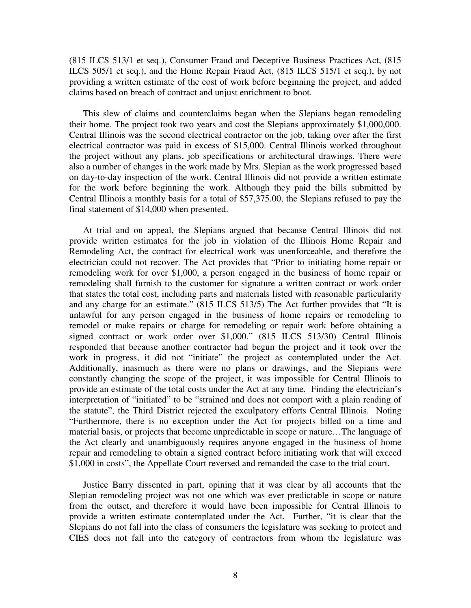(815 ILCS 513/1 et seq.), Consumer Fraud and Deceptive Business Practices Act, (815 ILCS 505/1 et seq.), and the Home Repair Fraud Act, (815 ILCS 515/1 et seq.), by not providing a written estimate of the cost of work before beginning the project, and added claims based on breach of contract and unjust enrichment to boot.

This slew of claims and counterclaims began when the Slepians began remodeling their home. The project took two years and cost the Slepians approximately \$1,000,000. Central Illinois was the second electrical contractor on the job, taking over after the first electrical contractor was paid in excess of \$15,000. Central Illinois worked throughout the project without any plans, job specifications or architectural drawings. There were also a number of changes in the work made by Mrs. Slepian as the work progressed based on day-to-day inspection of the work. Central Illinois did not provide a written estimate for the work before beginning the work. Although they paid the bills submitted by Central Illinois a monthly basis for a total of \$57,375.00, the Slepians refused to pay the final statement of \$14,000 when presented.

At trial and on appeal, the Slepians argued that because Central Illinois did not provide written estimates for the job in violation of the Illinois Home Repair and Remodeling Act, the contract for electrical work was unenforceable, and therefore the electrician could not recover. The Act provides that "Prior to initiating home repair or remodeling work for over \$1,000, a person engaged in the business of home repair or remodeling shall furnish to the customer for signature a written contract or work order that states the total cost, including parts and materials listed with reasonable particularity and any charge for an estimate." (815 ILCS 513/5) The Act further provides that "It is unlawful for any person engaged in the business of home repairs or remodeling to remodel or make repairs or charge for remodeling or repair work before obtaining a signed contract or work order over \$1,000." (815 ILCS 513/30) Central Illinois responded that because another contractor had begun the project and it took over the work in progress, it did not "initiate" the project as contemplated under the Act. Additionally, inasmuch as there were no plans or drawings, and the Slepians were constantly changing the scope of the project, it was impossible for Central Illinois to provide an estimate of the total costs under the Act at any time. Finding the electrician's interpretation of "initiated" to be "strained and does not comport with a plain reading of the statute", the Third District rejected the exculpatory efforts Central Illinois. Noting "Furthermore, there is no exception under the Act for projects billed on a time and material basis, or projects that become unpredictable in scope or nature…The language of the Act clearly and unambiguously requires anyone engaged in the business of home repair and remodeling to obtain a signed contract before initiating work that will exceed \$1,000 in costs", the Appellate Court reversed and remanded the case to the trial court.

Justice Barry dissented in part, opining that it was clear by all accounts that the Slepian remodeling project was not one which was ever predictable in scope or nature from the outset, and therefore it would have been impossible for Central Illinois to provide a written estimate contemplated under the Act. Further, "it is clear that the Slepians do not fall into the class of consumers the legislature was seeking to protect and CIES does not fall into the category of contractors from whom the legislature was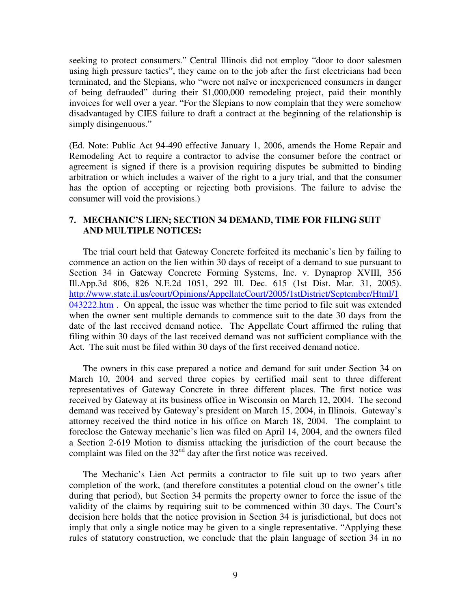seeking to protect consumers." Central Illinois did not employ "door to door salesmen using high pressure tactics", they came on to the job after the first electricians had been terminated, and the Slepians, who "were not naïve or inexperienced consumers in danger of being defrauded" during their \$1,000,000 remodeling project, paid their monthly invoices for well over a year. "For the Slepians to now complain that they were somehow disadvantaged by CIES failure to draft a contract at the beginning of the relationship is simply disingenuous."

(Ed. Note: Public Act 94-490 effective January 1, 2006, amends the Home Repair and Remodeling Act to require a contractor to advise the consumer before the contract or agreement is signed if there is a provision requiring disputes be submitted to binding arbitration or which includes a waiver of the right to a jury trial, and that the consumer has the option of accepting or rejecting both provisions. The failure to advise the consumer will void the provisions.)

### **7. MECHANIC'S LIEN; SECTION 34 DEMAND, TIME FOR FILING SUIT AND MULTIPLE NOTICES:**

The trial court held that Gateway Concrete forfeited its mechanic's lien by failing to commence an action on the lien within 30 days of receipt of a demand to sue pursuant to Section 34 in Gateway Concrete Forming Systems, Inc. v. Dynaprop XVIII, 356 Ill.App.3d 806, 826 N.E.2d 1051, 292 Ill. Dec. 615 (1st Dist. Mar. 31, 2005). http://www.state.il.us/court/Opinions/AppellateCourt/2005/1stDistrict/September/Html/1 043222.htm . On appeal, the issue was whether the time period to file suit was extended when the owner sent multiple demands to commence suit to the date 30 days from the date of the last received demand notice. The Appellate Court affirmed the ruling that filing within 30 days of the last received demand was not sufficient compliance with the Act. The suit must be filed within 30 days of the first received demand notice.

The owners in this case prepared a notice and demand for suit under Section 34 on March 10, 2004 and served three copies by certified mail sent to three different representatives of Gateway Concrete in three different places. The first notice was received by Gateway at its business office in Wisconsin on March 12, 2004. The second demand was received by Gateway's president on March 15, 2004, in Illinois. Gateway's attorney received the third notice in his office on March 18, 2004. The complaint to foreclose the Gateway mechanic's lien was filed on April 14, 2004, and the owners filed a Section 2-619 Motion to dismiss attacking the jurisdiction of the court because the complaint was filed on the  $32<sup>nd</sup>$  day after the first notice was received.

The Mechanic's Lien Act permits a contractor to file suit up to two years after completion of the work, (and therefore constitutes a potential cloud on the owner's title during that period), but Section 34 permits the property owner to force the issue of the validity of the claims by requiring suit to be commenced within 30 days. The Court's decision here holds that the notice provision in Section 34 is jurisdictional, but does not imply that only a single notice may be given to a single representative. "Applying these rules of statutory construction, we conclude that the plain language of section 34 in no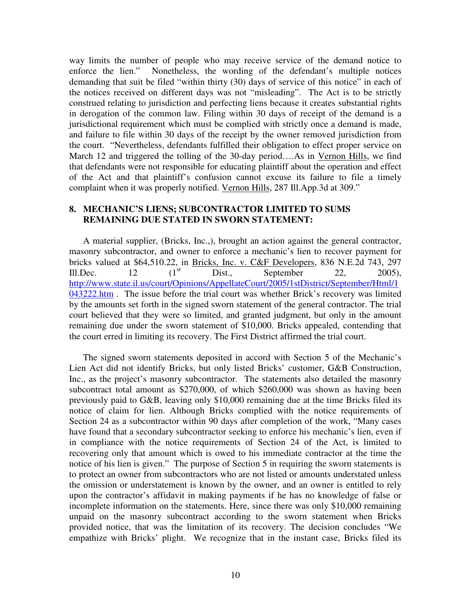way limits the number of people who may receive service of the demand notice to enforce the lien." Nonetheless, the wording of the defendant's multiple notices demanding that suit be filed "within thirty (30) days of service of this notice" in each of the notices received on different days was not "misleading". The Act is to be strictly construed relating to jurisdiction and perfecting liens because it creates substantial rights in derogation of the common law. Filing within 30 days of receipt of the demand is a jurisdictional requirement which must be complied with strictly once a demand is made, and failure to file within 30 days of the receipt by the owner removed jurisdiction from the court. "Nevertheless, defendants fulfilled their obligation to effect proper service on March 12 and triggered the tolling of the 30-day period....As in Vernon Hills, we find that defendants were not responsible for educating plaintiff about the operation and effect of the Act and that plaintiff's confusion cannot excuse its failure to file a timely complaint when it was properly notified. Vernon Hills, 287 Ill.App.3d at 309."

#### **8. MECHANIC'S LIENS; SUBCONTRACTOR LIMITED TO SUMS REMAINING DUE STATED IN SWORN STATEMENT:**

A material supplier, (Bricks, Inc.,), brought an action against the general contractor, masonry subcontractor, and owner to enforce a mechanic's lien to recover payment for bricks valued at \$64,510.22, in Bricks, Inc. v. C&F Developers, 836 N.E.2d 743, 297 Ill.Dec. 12  $(1^{st}$  Dist., September 22, 2005), http://www.state.il.us/court/Opinions/AppellateCourt/2005/1stDistrict/September/Html/1 043222.htm. The issue before the trial court was whether Brick's recovery was limited by the amounts set forth in the signed sworn statement of the general contractor. The trial court believed that they were so limited, and granted judgment, but only in the amount remaining due under the sworn statement of \$10,000. Bricks appealed, contending that the court erred in limiting its recovery. The First District affirmed the trial court.

The signed sworn statements deposited in accord with Section 5 of the Mechanic's Lien Act did not identify Bricks, but only listed Bricks' customer, G&B Construction, Inc., as the project's masonry subcontractor. The statements also detailed the masonry subcontract total amount as \$270,000, of which \$260,000 was shown as having been previously paid to G&B, leaving only \$10,000 remaining due at the time Bricks filed its notice of claim for lien. Although Bricks complied with the notice requirements of Section 24 as a subcontractor within 90 days after completion of the work, "Many cases have found that a secondary subcontractor seeking to enforce his mechanic's lien, even if in compliance with the notice requirements of Section 24 of the Act, is limited to recovering only that amount which is owed to his immediate contractor at the time the notice of his lien is given." The purpose of Section 5 in requiring the sworn statements is to protect an owner from subcontractors who are not listed or amounts understated unless the omission or understatement is known by the owner, and an owner is entitled to rely upon the contractor's affidavit in making payments if he has no knowledge of false or incomplete information on the statements. Here, since there was only \$10,000 remaining unpaid on the masonry subcontract according to the sworn statement when Bricks provided notice, that was the limitation of its recovery. The decision concludes "We empathize with Bricks' plight. We recognize that in the instant case, Bricks filed its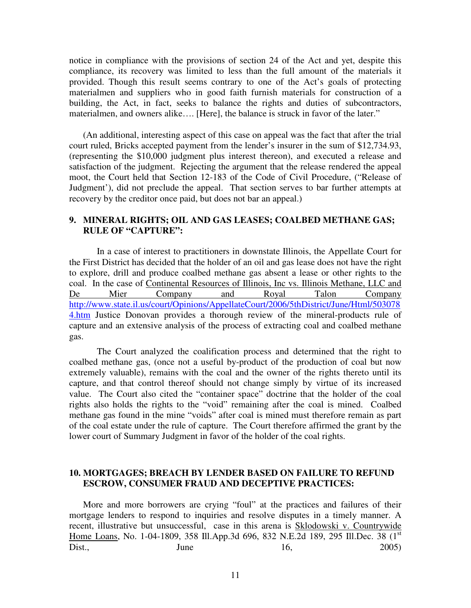notice in compliance with the provisions of section 24 of the Act and yet, despite this compliance, its recovery was limited to less than the full amount of the materials it provided. Though this result seems contrary to one of the Act's goals of protecting materialmen and suppliers who in good faith furnish materials for construction of a building, the Act, in fact, seeks to balance the rights and duties of subcontractors, materialmen, and owners alike…. [Here], the balance is struck in favor of the later."

(An additional, interesting aspect of this case on appeal was the fact that after the trial court ruled, Bricks accepted payment from the lender's insurer in the sum of \$12,734.93, (representing the \$10,000 judgment plus interest thereon), and executed a release and satisfaction of the judgment. Rejecting the argument that the release rendered the appeal moot, the Court held that Section 12-183 of the Code of Civil Procedure, ("Release of Judgment'), did not preclude the appeal. That section serves to bar further attempts at recovery by the creditor once paid, but does not bar an appeal.)

### **9. MINERAL RIGHTS; OIL AND GAS LEASES; COALBED METHANE GAS; RULE OF "CAPTURE":**

In a case of interest to practitioners in downstate Illinois, the Appellate Court for the First District has decided that the holder of an oil and gas lease does not have the right to explore, drill and produce coalbed methane gas absent a lease or other rights to the coal. In the case of Continental Resources of Illinois, Inc vs. Illinois Methane, LLC and De Mier Company and Royal Talon Company http://www.state.il.us/court/Opinions/AppellateCourt/2006/5thDistrict/June/Html/503078 4.htm Justice Donovan provides a thorough review of the mineral-products rule of capture and an extensive analysis of the process of extracting coal and coalbed methane gas.

The Court analyzed the coalification process and determined that the right to coalbed methane gas, (once not a useful by-product of the production of coal but now extremely valuable), remains with the coal and the owner of the rights thereto until its capture, and that control thereof should not change simply by virtue of its increased value. The Court also cited the "container space" doctrine that the holder of the coal rights also holds the rights to the "void" remaining after the coal is mined. Coalbed methane gas found in the mine "voids" after coal is mined must therefore remain as part of the coal estate under the rule of capture. The Court therefore affirmed the grant by the lower court of Summary Judgment in favor of the holder of the coal rights.

#### **10. MORTGAGES; BREACH BY LENDER BASED ON FAILURE TO REFUND ESCROW, CONSUMER FRAUD AND DECEPTIVE PRACTICES:**

More and more borrowers are crying "foul" at the practices and failures of their mortgage lenders to respond to inquiries and resolve disputes in a timely manner. A recent, illustrative but unsuccessful, case in this arena is Sklodowski v. Countrywide Home Loans, No. 1-04-1809, 358 Ill.App.3d 696, 832 N.E.2d 189, 295 Ill.Dec. 38 (1<sup>st</sup> Dist., June 16, 2005)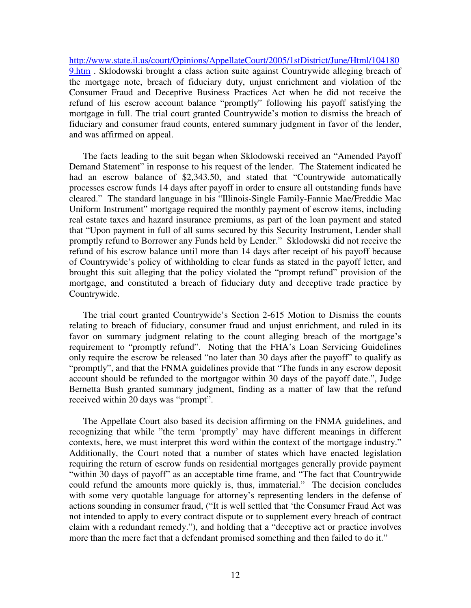http://www.state.il.us/court/Opinions/AppellateCourt/2005/1stDistrict/June/Html/104180 9.htm . Sklodowski brought a class action suite against Countrywide alleging breach of the mortgage note, breach of fiduciary duty, unjust enrichment and violation of the Consumer Fraud and Deceptive Business Practices Act when he did not receive the refund of his escrow account balance "promptly" following his payoff satisfying the mortgage in full. The trial court granted Countrywide's motion to dismiss the breach of fiduciary and consumer fraud counts, entered summary judgment in favor of the lender, and was affirmed on appeal.

The facts leading to the suit began when Sklodowski received an "Amended Payoff Demand Statement" in response to his request of the lender. The Statement indicated he had an escrow balance of \$2,343.50, and stated that "Countrywide automatically processes escrow funds 14 days after payoff in order to ensure all outstanding funds have cleared." The standard language in his "Illinois-Single Family-Fannie Mae/Freddie Mac Uniform Instrument" mortgage required the monthly payment of escrow items, including real estate taxes and hazard insurance premiums, as part of the loan payment and stated that "Upon payment in full of all sums secured by this Security Instrument, Lender shall promptly refund to Borrower any Funds held by Lender." Sklodowski did not receive the refund of his escrow balance until more than 14 days after receipt of his payoff because of Countrywide's policy of withholding to clear funds as stated in the payoff letter, and brought this suit alleging that the policy violated the "prompt refund" provision of the mortgage, and constituted a breach of fiduciary duty and deceptive trade practice by Countrywide.

The trial court granted Countrywide's Section 2-615 Motion to Dismiss the counts relating to breach of fiduciary, consumer fraud and unjust enrichment, and ruled in its favor on summary judgment relating to the count alleging breach of the mortgage's requirement to "promptly refund". Noting that the FHA's Loan Servicing Guidelines only require the escrow be released "no later than 30 days after the payoff" to qualify as "promptly", and that the FNMA guidelines provide that "The funds in any escrow deposit account should be refunded to the mortgagor within 30 days of the payoff date.", Judge Bernetta Bush granted summary judgment, finding as a matter of law that the refund received within 20 days was "prompt".

The Appellate Court also based its decision affirming on the FNMA guidelines, and recognizing that while "the term 'promptly' may have different meanings in different contexts, here, we must interpret this word within the context of the mortgage industry." Additionally, the Court noted that a number of states which have enacted legislation requiring the return of escrow funds on residential mortgages generally provide payment "within 30 days of payoff" as an acceptable time frame, and "The fact that Countrywide could refund the amounts more quickly is, thus, immaterial." The decision concludes with some very quotable language for attorney's representing lenders in the defense of actions sounding in consumer fraud, ("It is well settled that 'the Consumer Fraud Act was not intended to apply to every contract dispute or to supplement every breach of contract claim with a redundant remedy."), and holding that a "deceptive act or practice involves more than the mere fact that a defendant promised something and then failed to do it."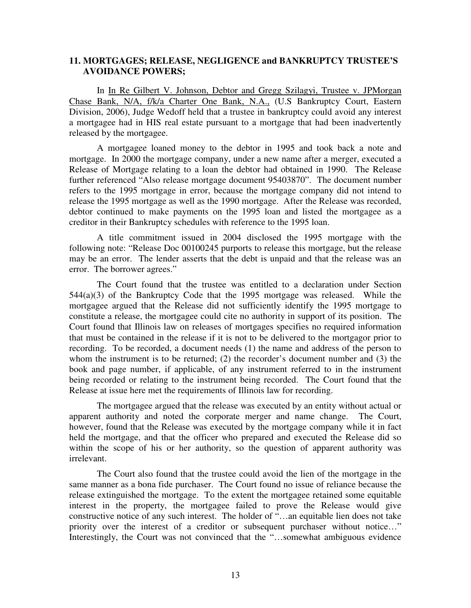#### **11. MORTGAGES; RELEASE, NEGLIGENCE and BANKRUPTCY TRUSTEE'S AVOIDANCE POWERS;**

In In Re Gilbert V. Johnson, Debtor and Gregg Szilagyi, Trustee v. JPMorgan Chase Bank, N/A, f/k/a Charter One Bank, N.A., (U.S Bankruptcy Court, Eastern Division, 2006), Judge Wedoff held that a trustee in bankruptcy could avoid any interest a mortgagee had in HIS real estate pursuant to a mortgage that had been inadvertently released by the mortgagee.

A mortgagee loaned money to the debtor in 1995 and took back a note and mortgage. In 2000 the mortgage company, under a new name after a merger, executed a Release of Mortgage relating to a loan the debtor had obtained in 1990. The Release further referenced "Also release mortgage document 95403870". The document number refers to the 1995 mortgage in error, because the mortgage company did not intend to release the 1995 mortgage as well as the 1990 mortgage. After the Release was recorded, debtor continued to make payments on the 1995 loan and listed the mortgagee as a creditor in their Bankruptcy schedules with reference to the 1995 loan.

A title commitment issued in 2004 disclosed the 1995 mortgage with the following note: "Release Doc 00100245 purports to release this mortgage, but the release may be an error. The lender asserts that the debt is unpaid and that the release was an error. The borrower agrees."

The Court found that the trustee was entitled to a declaration under Section  $544(a)(3)$  of the Bankruptcy Code that the 1995 mortgage was released. While the mortgagee argued that the Release did not sufficiently identify the 1995 mortgage to constitute a release, the mortgagee could cite no authority in support of its position. The Court found that Illinois law on releases of mortgages specifies no required information that must be contained in the release if it is not to be delivered to the mortgagor prior to recording. To be recorded, a document needs (1) the name and address of the person to whom the instrument is to be returned; (2) the recorder's document number and (3) the book and page number, if applicable, of any instrument referred to in the instrument being recorded or relating to the instrument being recorded. The Court found that the Release at issue here met the requirements of Illinois law for recording.

The mortgagee argued that the release was executed by an entity without actual or apparent authority and noted the corporate merger and name change. The Court, however, found that the Release was executed by the mortgage company while it in fact held the mortgage, and that the officer who prepared and executed the Release did so within the scope of his or her authority, so the question of apparent authority was irrelevant.

The Court also found that the trustee could avoid the lien of the mortgage in the same manner as a bona fide purchaser. The Court found no issue of reliance because the release extinguished the mortgage. To the extent the mortgagee retained some equitable interest in the property, the mortgagee failed to prove the Release would give constructive notice of any such interest. The holder of "…an equitable lien does not take priority over the interest of a creditor or subsequent purchaser without notice…" Interestingly, the Court was not convinced that the "...somewhat ambiguous evidence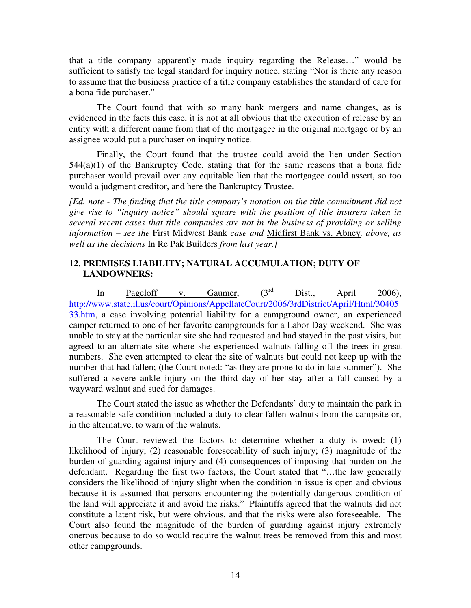that a title company apparently made inquiry regarding the Release…" would be sufficient to satisfy the legal standard for inquiry notice, stating "Nor is there any reason to assume that the business practice of a title company establishes the standard of care for a bona fide purchaser."

The Court found that with so many bank mergers and name changes, as is evidenced in the facts this case, it is not at all obvious that the execution of release by an entity with a different name from that of the mortgagee in the original mortgage or by an assignee would put a purchaser on inquiry notice.

Finally, the Court found that the trustee could avoid the lien under Section  $544(a)(1)$  of the Bankruptcy Code, stating that for the same reasons that a bona fide purchaser would prevail over any equitable lien that the mortgagee could assert, so too would a judgment creditor, and here the Bankruptcy Trustee.

*[Ed. note - The finding that the title company's notation on the title commitment did not give rise to "inquiry notice" should square with the position of title insurers taken in several recent cases that title companies are not in the business of providing or selling information – see the* First Midwest Bank *case and* Midfirst Bank vs. Abney*, above, as well as the decisions* In Re Pak Builders *from last year.]*

### **12. PREMISES LIABILITY; NATURAL ACCUMULATION; DUTY OF LANDOWNERS:**

In Pageloff v. Gaumer,  $(3^{rd}$  Dist., April 2006), http://www.state.il.us/court/Opinions/AppellateCourt/2006/3rdDistrict/April/Html/30405 33.htm, a case involving potential liability for a campground owner, an experienced camper returned to one of her favorite campgrounds for a Labor Day weekend. She was unable to stay at the particular site she had requested and had stayed in the past visits, but agreed to an alternate site where she experienced walnuts falling off the trees in great numbers. She even attempted to clear the site of walnuts but could not keep up with the number that had fallen; (the Court noted: "as they are prone to do in late summer"). She suffered a severe ankle injury on the third day of her stay after a fall caused by a wayward walnut and sued for damages.

The Court stated the issue as whether the Defendants' duty to maintain the park in a reasonable safe condition included a duty to clear fallen walnuts from the campsite or, in the alternative, to warn of the walnuts.

The Court reviewed the factors to determine whether a duty is owed: (1) likelihood of injury; (2) reasonable foreseeability of such injury; (3) magnitude of the burden of guarding against injury and (4) consequences of imposing that burden on the defendant. Regarding the first two factors, the Court stated that "…the law generally considers the likelihood of injury slight when the condition in issue is open and obvious because it is assumed that persons encountering the potentially dangerous condition of the land will appreciate it and avoid the risks." Plaintiffs agreed that the walnuts did not constitute a latent risk, but were obvious, and that the risks were also foreseeable. The Court also found the magnitude of the burden of guarding against injury extremely onerous because to do so would require the walnut trees be removed from this and most other campgrounds.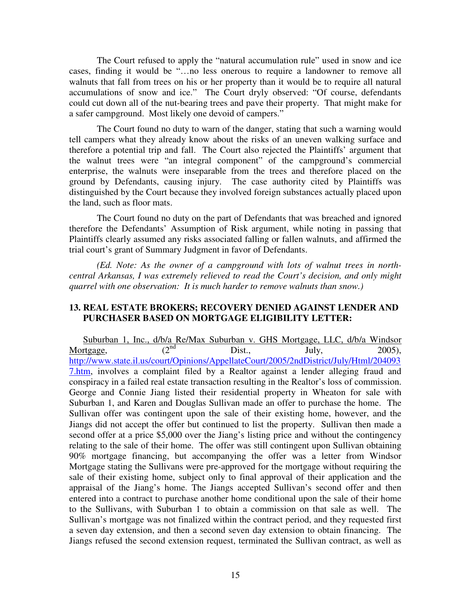The Court refused to apply the "natural accumulation rule" used in snow and ice cases, finding it would be "…no less onerous to require a landowner to remove all walnuts that fall from trees on his or her property than it would be to require all natural accumulations of snow and ice." The Court dryly observed: "Of course, defendants could cut down all of the nut-bearing trees and pave their property. That might make for a safer campground. Most likely one devoid of campers."

The Court found no duty to warn of the danger, stating that such a warning would tell campers what they already know about the risks of an uneven walking surface and therefore a potential trip and fall. The Court also rejected the Plaintiffs' argument that the walnut trees were "an integral component" of the campground's commercial enterprise, the walnuts were inseparable from the trees and therefore placed on the ground by Defendants, causing injury. The case authority cited by Plaintiffs was distinguished by the Court because they involved foreign substances actually placed upon the land, such as floor mats.

The Court found no duty on the part of Defendants that was breached and ignored therefore the Defendants' Assumption of Risk argument, while noting in passing that Plaintiffs clearly assumed any risks associated falling or fallen walnuts, and affirmed the trial court's grant of Summary Judgment in favor of Defendants.

*(Ed. Note: As the owner of a campground with lots of walnut trees in northcentral Arkansas, I was extremely relieved to read the Court's decision, and only might quarrel with one observation: It is much harder to remove walnuts than snow.)* 

### **13. REAL ESTATE BROKERS; RECOVERY DENIED AGAINST LENDER AND PURCHASER BASED ON MORTGAGE ELIGIBILITY LETTER:**

Suburban 1, Inc., d/b/a Re/Max Suburban v. GHS Mortgage, LLC, d/b/a Windsor Mortgage,  $(2^{nd}$  Dist., July, 2005), http://www.state.il.us/court/Opinions/AppellateCourt/2005/2ndDistrict/July/Html/204093 7.htm, involves a complaint filed by a Realtor against a lender alleging fraud and conspiracy in a failed real estate transaction resulting in the Realtor's loss of commission. George and Connie Jiang listed their residential property in Wheaton for sale with Suburban 1, and Karen and Douglas Sullivan made an offer to purchase the home. The Sullivan offer was contingent upon the sale of their existing home, however, and the Jiangs did not accept the offer but continued to list the property. Sullivan then made a second offer at a price \$5,000 over the Jiang's listing price and without the contingency relating to the sale of their home. The offer was still contingent upon Sullivan obtaining 90% mortgage financing, but accompanying the offer was a letter from Windsor Mortgage stating the Sullivans were pre-approved for the mortgage without requiring the sale of their existing home, subject only to final approval of their application and the appraisal of the Jiang's home. The Jiangs accepted Sullivan's second offer and then entered into a contract to purchase another home conditional upon the sale of their home to the Sullivans, with Suburban 1 to obtain a commission on that sale as well. The Sullivan's mortgage was not finalized within the contract period, and they requested first a seven day extension, and then a second seven day extension to obtain financing. The Jiangs refused the second extension request, terminated the Sullivan contract, as well as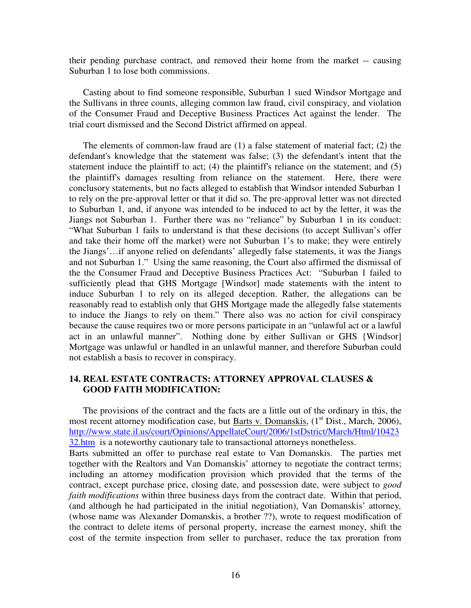their pending purchase contract, and removed their home from the market -- causing Suburban 1 to lose both commissions.

Casting about to find someone responsible, Suburban 1 sued Windsor Mortgage and the Sullivans in three counts, alleging common law fraud, civil conspiracy, and violation of the Consumer Fraud and Deceptive Business Practices Act against the lender. The trial court dismissed and the Second District affirmed on appeal.

The elements of common-law fraud are (1) a false statement of material fact; (2) the defendant's knowledge that the statement was false; (3) the defendant's intent that the statement induce the plaintiff to act; (4) the plaintiff's reliance on the statement; and (5) the plaintiff's damages resulting from reliance on the statement. Here, there were conclusory statements, but no facts alleged to establish that Windsor intended Suburban 1 to rely on the pre-approval letter or that it did so. The pre-approval letter was not directed to Suburban 1, and, if anyone was intended to be induced to act by the letter, it was the Jiangs not Suburban 1. Further there was no "reliance" by Suburban 1 in its conduct: "What Suburban 1 fails to understand is that these decisions (to accept Sullivan's offer and take their home off the market) were not Suburban 1's to make; they were entirely the Jiangs'…if anyone relied on defendants' allegedly false statements, it was the Jiangs and not Suburban 1." Using the same reasoning, the Court also affirmed the dismissal of the the Consumer Fraud and Deceptive Business Practices Act: "Suburban 1 failed to sufficiently plead that GHS Mortgage [Windsor] made statements with the intent to induce Suburban 1 to rely on its alleged deception. Rather, the allegations can be reasonably read to establish only that GHS Mortgage made the allegedly false statements to induce the Jiangs to rely on them." There also was no action for civil conspiracy because the cause requires two or more persons participate in an "unlawful act or a lawful act in an unlawful manner". Nothing done by either Sullivan or GHS {Windsor] Mortgage was unlawful or handled in an unlawful manner, and therefore Suburban could not establish a basis to recover in conspiracy.

### **14. REAL ESTATE CONTRACTS: ATTORNEY APPROVAL CLAUSES & GOOD FAITH MODIFICATION:**

The provisions of the contract and the facts are a little out of the ordinary in this, the most recent attorney modification case, but Barts v. Domanskis,  $(1<sup>st</sup> Dist., March, 2006)$ , http://www.state.il.us/court/Opinions/AppellateCourt/2006/1stDstrict/March/Html/10423 32.htm is a noteworthy cautionary tale to transactional attorneys nonetheless. Barts submitted an offer to purchase real estate to Van Domanskis. The parties met together with the Realtors and Van Domanskis' attorney to negotiate the contract terms; including an attorney modification provision which provided that the terms of the contract, except purchase price, closing date, and possession date, were subject to *good faith modifications* within three business days from the contract date. Within that period, (and although he had participated in the initial negotiation), Van Domanskis' attorney*,*  (whose name was Alexander Domanskis, a brother ??), wrote to request modification of the contract to delete items of personal property, increase the earnest money, shift the cost of the termite inspection from seller to purchaser, reduce the tax proration from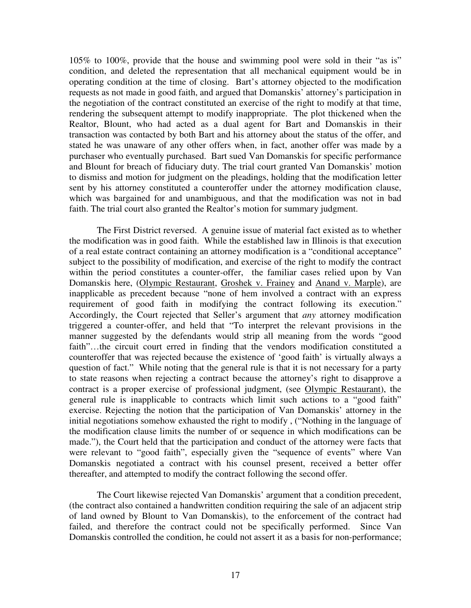105% to 100%, provide that the house and swimming pool were sold in their "as is" condition, and deleted the representation that all mechanical equipment would be in operating condition at the time of closing. Bart's attorney objected to the modification requests as not made in good faith, and argued that Domanskis' attorney's participation in the negotiation of the contract constituted an exercise of the right to modify at that time, rendering the subsequent attempt to modify inappropriate. The plot thickened when the Realtor, Blount, who had acted as a dual agent for Bart and Domanskis in their transaction was contacted by both Bart and his attorney about the status of the offer, and stated he was unaware of any other offers when, in fact, another offer was made by a purchaser who eventually purchased. Bart sued Van Domanskis for specific performance and Blount for breach of fiduciary duty. The trial court granted Van Domanskis' motion to dismiss and motion for judgment on the pleadings, holding that the modification letter sent by his attorney constituted a counteroffer under the attorney modification clause, which was bargained for and unambiguous, and that the modification was not in bad faith. The trial court also granted the Realtor's motion for summary judgment.

The First District reversed. A genuine issue of material fact existed as to whether the modification was in good faith. While the established law in Illinois is that execution of a real estate contract containing an attorney modification is a "conditional acceptance" subject to the possibility of modification, and exercise of the right to modify the contract within the period constitutes a counter-offer, the familiar cases relied upon by Van Domanskis here, (Olympic Restaurant, Groshek v. Frainey and Anand v. Marple), are inapplicable as precedent because "none of hem involved a contract with an express requirement of good faith in modifying the contract following its execution." Accordingly, the Court rejected that Seller's argument that *any* attorney modification triggered a counter-offer, and held that "To interpret the relevant provisions in the manner suggested by the defendants would strip all meaning from the words "good faith"…the circuit court erred in finding that the vendors modification constituted a counteroffer that was rejected because the existence of 'good faith' is virtually always a question of fact." While noting that the general rule is that it is not necessary for a party to state reasons when rejecting a contract because the attorney's right to disapprove a contract is a proper exercise of professional judgment, (see Olympic Restaurant), the general rule is inapplicable to contracts which limit such actions to a "good faith" exercise. Rejecting the notion that the participation of Van Domanskis' attorney in the initial negotiations somehow exhausted the right to modify , ("Nothing in the language of the modification clause limits the number of or sequence in which modifications can be made."), the Court held that the participation and conduct of the attorney were facts that were relevant to "good faith", especially given the "sequence of events" where Van Domanskis negotiated a contract with his counsel present, received a better offer thereafter, and attempted to modify the contract following the second offer.

The Court likewise rejected Van Domanskis' argument that a condition precedent, (the contract also contained a handwritten condition requiring the sale of an adjacent strip of land owned by Blount to Van Domanskis), to the enforcement of the contract had failed, and therefore the contract could not be specifically performed. Since Van Domanskis controlled the condition, he could not assert it as a basis for non-performance;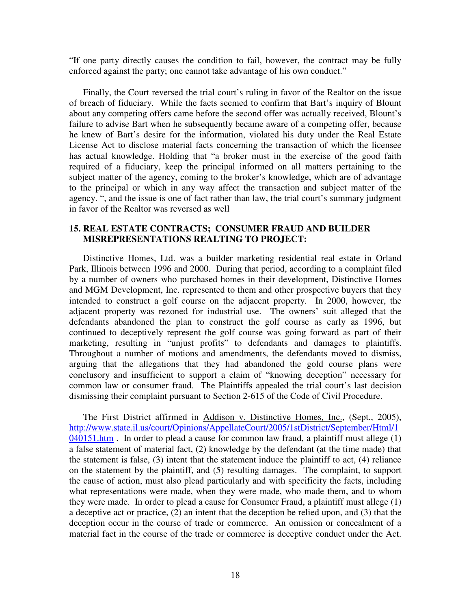"If one party directly causes the condition to fail, however, the contract may be fully enforced against the party; one cannot take advantage of his own conduct."

Finally, the Court reversed the trial court's ruling in favor of the Realtor on the issue of breach of fiduciary. While the facts seemed to confirm that Bart's inquiry of Blount about any competing offers came before the second offer was actually received, Blount's failure to advise Bart when he subsequently became aware of a competing offer, because he knew of Bart's desire for the information, violated his duty under the Real Estate License Act to disclose material facts concerning the transaction of which the licensee has actual knowledge. Holding that "a broker must in the exercise of the good faith required of a fiduciary, keep the principal informed on all matters pertaining to the subject matter of the agency, coming to the broker's knowledge, which are of advantage to the principal or which in any way affect the transaction and subject matter of the agency. ", and the issue is one of fact rather than law, the trial court's summary judgment in favor of the Realtor was reversed as well

#### **15. REAL ESTATE CONTRACTS; CONSUMER FRAUD AND BUILDER MISREPRESENTATIONS REALTING TO PROJECT:**

Distinctive Homes, Ltd. was a builder marketing residential real estate in Orland Park, Illinois between 1996 and 2000. During that period, according to a complaint filed by a number of owners who purchased homes in their development, Distinctive Homes and MGM Development, Inc. represented to them and other prospective buyers that they intended to construct a golf course on the adjacent property. In 2000, however, the adjacent property was rezoned for industrial use. The owners' suit alleged that the defendants abandoned the plan to construct the golf course as early as 1996, but continued to deceptively represent the golf course was going forward as part of their marketing, resulting in "unjust profits" to defendants and damages to plaintiffs. Throughout a number of motions and amendments, the defendants moved to dismiss, arguing that the allegations that they had abandoned the gold course plans were conclusory and insufficient to support a claim of "knowing deception" necessary for common law or consumer fraud. The Plaintiffs appealed the trial court's last decision dismissing their complaint pursuant to Section 2-615 of the Code of Civil Procedure.

The First District affirmed in Addison v. Distinctive Homes, Inc., (Sept., 2005), http://www.state.il.us/court/Opinions/AppellateCourt/2005/1stDistrict/September/Html/1  $040151$ .htm. In order to plead a cause for common law fraud, a plaintiff must allege  $(1)$ a false statement of material fact, (2) knowledge by the defendant (at the time made) that the statement is false, (3) intent that the statement induce the plaintiff to act, (4) reliance on the statement by the plaintiff, and (5) resulting damages. The complaint, to support the cause of action, must also plead particularly and with specificity the facts, including what representations were made, when they were made, who made them, and to whom they were made. In order to plead a cause for Consumer Fraud, a plaintiff must allege (1) a deceptive act or practice, (2) an intent that the deception be relied upon, and (3) that the deception occur in the course of trade or commerce. An omission or concealment of a material fact in the course of the trade or commerce is deceptive conduct under the Act.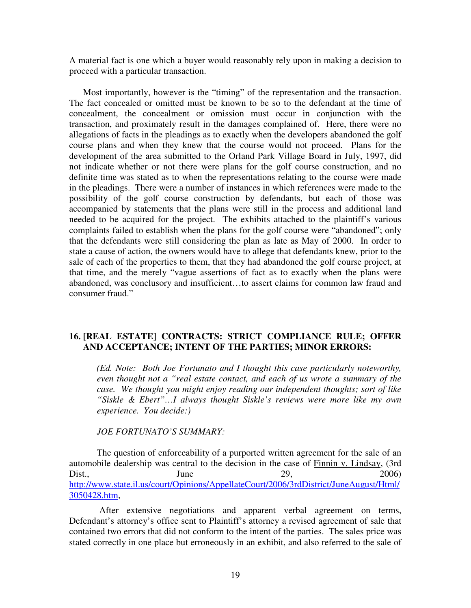A material fact is one which a buyer would reasonably rely upon in making a decision to proceed with a particular transaction.

Most importantly, however is the "timing" of the representation and the transaction. The fact concealed or omitted must be known to be so to the defendant at the time of concealment, the concealment or omission must occur in conjunction with the transaction, and proximately result in the damages complained of. Here, there were no allegations of facts in the pleadings as to exactly when the developers abandoned the golf course plans and when they knew that the course would not proceed. Plans for the development of the area submitted to the Orland Park Village Board in July, 1997, did not indicate whether or not there were plans for the golf course construction, and no definite time was stated as to when the representations relating to the course were made in the pleadings. There were a number of instances in which references were made to the possibility of the golf course construction by defendants, but each of those was accompanied by statements that the plans were still in the process and additional land needed to be acquired for the project. The exhibits attached to the plaintiff's various complaints failed to establish when the plans for the golf course were "abandoned"; only that the defendants were still considering the plan as late as May of 2000. In order to state a cause of action, the owners would have to allege that defendants knew, prior to the sale of each of the properties to them, that they had abandoned the golf course project, at that time, and the merely "vague assertions of fact as to exactly when the plans were abandoned, was conclusory and insufficient…to assert claims for common law fraud and consumer fraud."

#### **16. [REAL ESTATE] CONTRACTS: STRICT COMPLIANCE RULE; OFFER AND ACCEPTANCE; INTENT OF THE PARTIES; MINOR ERRORS:**

*(Ed. Note: Both Joe Fortunato and I thought this case particularly noteworthy, even thought not a "real estate contact, and each of us wrote a summary of the case. We thought you might enjoy reading our independent thoughts; sort of like "Siskle & Ebert"…I always thought Siskle's reviews were more like my own experience. You decide:)* 

#### *JOE FORTUNATO'S SUMMARY:*

The question of enforceability of a purported written agreement for the sale of an automobile dealership was central to the decision in the case of Finnin v. Lindsay, (3rd Dist., June 29, 2006) http://www.state.il.us/court/Opinions/AppellateCourt/2006/3rdDistrict/JuneAugust/Html/ 3050428.htm,

 After extensive negotiations and apparent verbal agreement on terms, Defendant's attorney's office sent to Plaintiff's attorney a revised agreement of sale that contained two errors that did not conform to the intent of the parties. The sales price was stated correctly in one place but erroneously in an exhibit, and also referred to the sale of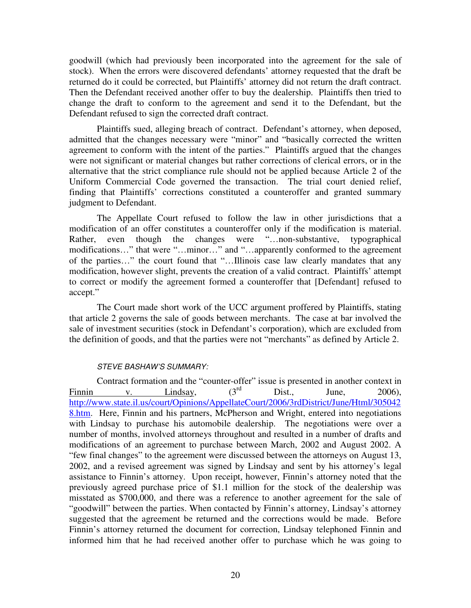goodwill (which had previously been incorporated into the agreement for the sale of stock). When the errors were discovered defendants' attorney requested that the draft be returned do it could be corrected, but Plaintiffs' attorney did not return the draft contract. Then the Defendant received another offer to buy the dealership. Plaintiffs then tried to change the draft to conform to the agreement and send it to the Defendant, but the Defendant refused to sign the corrected draft contract.

Plaintiffs sued, alleging breach of contract. Defendant's attorney, when deposed, admitted that the changes necessary were "minor" and "basically corrected the written agreement to conform with the intent of the parties." Plaintiffs argued that the changes were not significant or material changes but rather corrections of clerical errors, or in the alternative that the strict compliance rule should not be applied because Article 2 of the Uniform Commercial Code governed the transaction. The trial court denied relief, finding that Plaintiffs' corrections constituted a counteroffer and granted summary judgment to Defendant.

The Appellate Court refused to follow the law in other jurisdictions that a modification of an offer constitutes a counteroffer only if the modification is material. Rather, even though the changes were "…non-substantive, typographical modifications…" that were "…minor…" and "…apparently conformed to the agreement of the parties…" the court found that "…Illinois case law clearly mandates that any modification, however slight, prevents the creation of a valid contract. Plaintiffs' attempt to correct or modify the agreement formed a counteroffer that [Defendant] refused to accept."

The Court made short work of the UCC argument proffered by Plaintiffs, stating that article 2 governs the sale of goods between merchants. The case at bar involved the sale of investment securities (stock in Defendant's corporation), which are excluded from the definition of goods, and that the parties were not "merchants" as defined by Article 2.

#### STEVE BASHAW'S SUMMARY:

Contract formation and the "counter-offer" issue is presented in another context in<br>  $V = \frac{1 \text{ indsav}}{2006}$ Finnin v. Lindsay,  $(3^{rd}$  Dist., June, 2006), http://www.state.il.us/court/Opinions/AppellateCourt/2006/3rdDistrict/June/Html/305042 8.htm. Here, Finnin and his partners, McPherson and Wright, entered into negotiations with Lindsay to purchase his automobile dealership. The negotiations were over a number of months, involved attorneys throughout and resulted in a number of drafts and modifications of an agreement to purchase between March, 2002 and August 2002. A "few final changes" to the agreement were discussed between the attorneys on August 13, 2002, and a revised agreement was signed by Lindsay and sent by his attorney's legal assistance to Finnin's attorney. Upon receipt, however, Finnin's attorney noted that the previously agreed purchase price of \$1.1 million for the stock of the dealership was misstated as \$700,000, and there was a reference to another agreement for the sale of "goodwill" between the parties. When contacted by Finnin's attorney, Lindsay's attorney suggested that the agreement be returned and the corrections would be made. Before Finnin's attorney returned the document for correction, Lindsay telephoned Finnin and informed him that he had received another offer to purchase which he was going to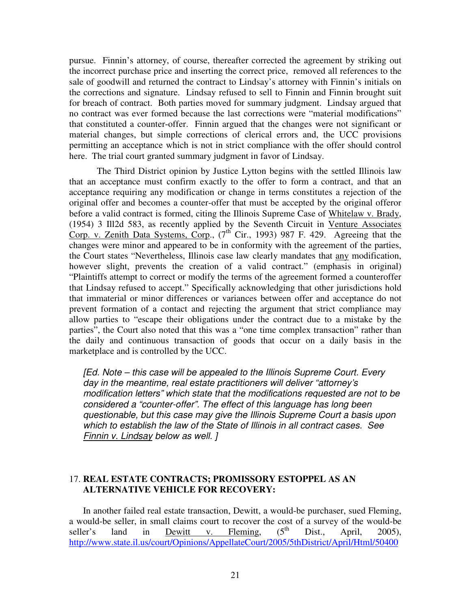pursue. Finnin's attorney, of course, thereafter corrected the agreement by striking out the incorrect purchase price and inserting the correct price, removed all references to the sale of goodwill and returned the contract to Lindsay's attorney with Finnin's initials on the corrections and signature. Lindsay refused to sell to Finnin and Finnin brought suit for breach of contract. Both parties moved for summary judgment. Lindsay argued that no contract was ever formed because the last corrections were "material modifications" that constituted a counter-offer. Finnin argued that the changes were not significant or material changes, but simple corrections of clerical errors and, the UCC provisions permitting an acceptance which is not in strict compliance with the offer should control here. The trial court granted summary judgment in favor of Lindsay.

The Third District opinion by Justice Lytton begins with the settled Illinois law that an acceptance must confirm exactly to the offer to form a contract, and that an acceptance requiring any modification or change in terms constitutes a rejection of the original offer and becomes a counter-offer that must be accepted by the original offeror before a valid contract is formed, citing the Illinois Supreme Case of Whitelaw v. Brady, (1954) 3 Ill2d 583, as recently applied by the Seventh Circuit in Venture Associates Corp. v. Zenith Data Systems, Corp.,  $(7^{th}$  Cir., 1993) 987 F. 429. Agreeing that the changes were minor and appeared to be in conformity with the agreement of the parties, the Court states "Nevertheless, Illinois case law clearly mandates that any modification, however slight, prevents the creation of a valid contract." (emphasis in original) "Plaintiffs attempt to correct or modify the terms of the agreement formed a counteroffer that Lindsay refused to accept." Specifically acknowledging that other jurisdictions hold that immaterial or minor differences or variances between offer and acceptance do not prevent formation of a contact and rejecting the argument that strict compliance may allow parties to "escape their obligations under the contract due to a mistake by the parties", the Court also noted that this was a "one time complex transaction" rather than the daily and continuous transaction of goods that occur on a daily basis in the marketplace and is controlled by the UCC.

[Ed. Note – this case will be appealed to the Illinois Supreme Court. Every day in the meantime, real estate practitioners will deliver "attorney's modification letters" which state that the modifications requested are not to be considered a "counter-offer". The effect of this language has long been questionable, but this case may give the Illinois Supreme Court a basis upon which to establish the law of the State of Illinois in all contract cases. See Finnin v. Lindsay below as well. ]

# 17. **REAL ESTATE CONTRACTS; PROMISSORY ESTOPPEL AS AN ALTERNATIVE VEHICLE FOR RECOVERY:**

In another failed real estate transaction, Dewitt, a would-be purchaser, sued Fleming, a would-be seller, in small claims court to recover the cost of a survey of the would-be seller's land in Dewitt v. Fleming.  $(5<sup>th</sup> Dist.,$  April, 2005). seller's land in Dewitt v. Fleming,  $(5^{th}$  Dist., April, 2005), http://www.state.il.us/court/Opinions/AppellateCourt/2005/5thDistrict/April/Html/50400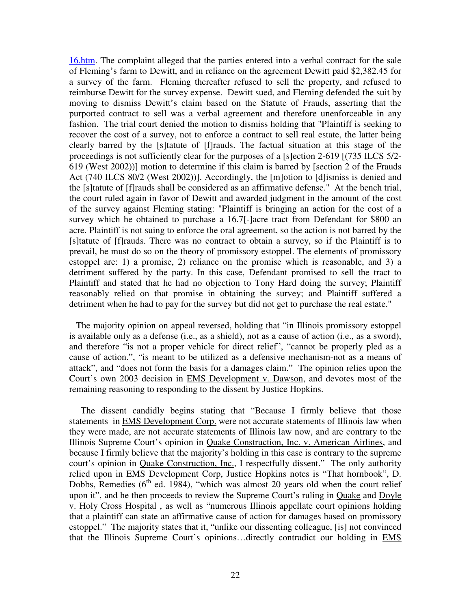16.htm. The complaint alleged that the parties entered into a verbal contract for the sale of Fleming's farm to Dewitt, and in reliance on the agreement Dewitt paid \$2,382.45 for a survey of the farm. Fleming thereafter refused to sell the property, and refused to reimburse Dewitt for the survey expense. Dewitt sued, and Fleming defended the suit by moving to dismiss Dewitt's claim based on the Statute of Frauds, asserting that the purported contract to sell was a verbal agreement and therefore unenforceable in any fashion. The trial court denied the motion to dismiss holding that "Plaintiff is seeking to recover the cost of a survey, not to enforce a contract to sell real estate, the latter being clearly barred by the [s]tatute of [f]rauds. The factual situation at this stage of the proceedings is not sufficiently clear for the purposes of a [s]ection 2-619 [(735 ILCS 5/2- 619 (West 2002))] motion to determine if this claim is barred by [section 2 of the Frauds Act (740 ILCS 80/2 (West 2002))]. Accordingly, the [m]otion to [d]ismiss is denied and the [s]tatute of [f]rauds shall be considered as an affirmative defense." At the bench trial, the court ruled again in favor of Dewitt and awarded judgment in the amount of the cost of the survey against Fleming stating: "Plaintiff is bringing an action for the cost of a survey which he obtained to purchase a 16.7[-]acre tract from Defendant for \$800 an acre. Plaintiff is not suing to enforce the oral agreement, so the action is not barred by the [s]tatute of [f]rauds. There was no contract to obtain a survey, so if the Plaintiff is to prevail, he must do so on the theory of promissory estoppel. The elements of promissory estoppel are: 1) a promise, 2) reliance on the promise which is reasonable, and 3) a detriment suffered by the party. In this case, Defendant promised to sell the tract to Plaintiff and stated that he had no objection to Tony Hard doing the survey; Plaintiff reasonably relied on that promise in obtaining the survey; and Plaintiff suffered a detriment when he had to pay for the survey but did not get to purchase the real estate."

 The majority opinion on appeal reversed, holding that "in Illinois promissory estoppel is available only as a defense (i.e., as a shield), not as a cause of action (i.e., as a sword), and therefore "is not a proper vehicle for direct relief", "cannot be properly pled as a cause of action.", "is meant to be utilized as a defensive mechanism-not as a means of attack", and "does not form the basis for a damages claim." The opinion relies upon the Court's own 2003 decision in EMS Development v. Dawson, and devotes most of the remaining reasoning to responding to the dissent by Justice Hopkins.

 The dissent candidly begins stating that "Because I firmly believe that those statements in EMS Development Corp. were not accurate statements of Illinois law when they were made, are not accurate statements of Illinois law now, and are contrary to the Illinois Supreme Court's opinion in Quake Construction, Inc. v. American Airlines, and because I firmly believe that the majority's holding in this case is contrary to the supreme court's opinion in Quake Construction, Inc., I respectfully dissent." The only authority relied upon in EMS Development Corp, Justice Hopkins notes is "That hornbook", D. Dobbs, Remedies ( $6<sup>th</sup>$  ed. 1984), "which was almost 20 years old when the court relief upon it", and he then proceeds to review the Supreme Court's ruling in Quake and Doyle v. Holy Cross Hospital , as well as "numerous Illinois appellate court opinions holding that a plaintiff can state an affirmative cause of action for damages based on promissory estoppel." The majority states that it, "unlike our dissenting colleague, [is] not convinced that the Illinois Supreme Court's opinions…directly contradict our holding in EMS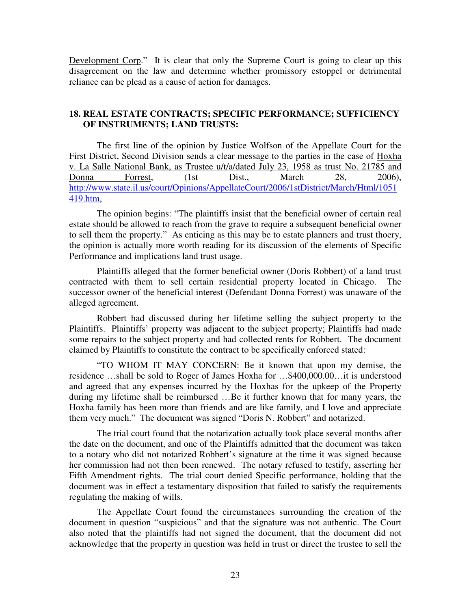Development Corp." It is clear that only the Supreme Court is going to clear up this disagreement on the law and determine whether promissory estoppel or detrimental reliance can be plead as a cause of action for damages.

### **18. REAL ESTATE CONTRACTS; SPECIFIC PERFORMANCE; SUFFICIENCY OF INSTRUMENTS; LAND TRUSTS:**

The first line of the opinion by Justice Wolfson of the Appellate Court for the First District, Second Division sends a clear message to the parties in the case of Hoxha v. La Salle National Bank, as Trustee u/t/a/dated July 23, 1958 as trust No. 21785 and Donna Forrest, (1st Dist., March 28, 2006), http://www.state.il.us/court/Opinions/AppellateCourt/2006/1stDistrict/March/Html/1051 419.htm,

The opinion begins: "The plaintiffs insist that the beneficial owner of certain real estate should be allowed to reach from the grave to require a subsequent beneficial owner to sell them the property." As enticing as this may be to estate planners and trust thoery, the opinion is actually more worth reading for its discussion of the elements of Specific Performance and implications land trust usage.

Plaintiffs alleged that the former beneficial owner (Doris Robbert) of a land trust contracted with them to sell certain residential property located in Chicago. The successor owner of the beneficial interest (Defendant Donna Forrest) was unaware of the alleged agreement.

Robbert had discussed during her lifetime selling the subject property to the Plaintiffs. Plaintiffs' property was adjacent to the subject property; Plaintiffs had made some repairs to the subject property and had collected rents for Robbert. The document claimed by Plaintiffs to constitute the contract to be specifically enforced stated:

"TO WHOM IT MAY CONCERN: Be it known that upon my demise, the residence …shall be sold to Roger of James Hoxha for …\$400,000.00…it is understood and agreed that any expenses incurred by the Hoxhas for the upkeep of the Property during my lifetime shall be reimbursed …Be it further known that for many years, the Hoxha family has been more than friends and are like family, and I love and appreciate them very much." The document was signed "Doris N. Robbert" and notarized.

The trial court found that the notarization actually took place several months after the date on the document, and one of the Plaintiffs admitted that the document was taken to a notary who did not notarized Robbert's signature at the time it was signed because her commission had not then been renewed. The notary refused to testify, asserting her Fifth Amendment rights. The trial court denied Specific performance, holding that the document was in effect a testamentary disposition that failed to satisfy the requirements regulating the making of wills.

The Appellate Court found the circumstances surrounding the creation of the document in question "suspicious" and that the signature was not authentic. The Court also noted that the plaintiffs had not signed the document, that the document did not acknowledge that the property in question was held in trust or direct the trustee to sell the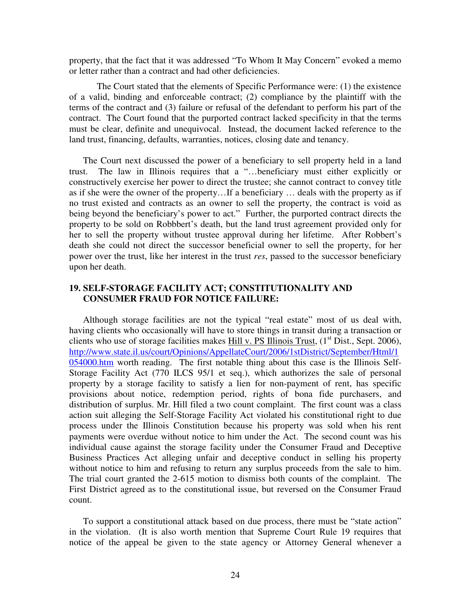property, that the fact that it was addressed "To Whom It May Concern" evoked a memo or letter rather than a contract and had other deficiencies.

The Court stated that the elements of Specific Performance were: (1) the existence of a valid, binding and enforceable contract; (2) compliance by the plaintiff with the terms of the contract and (3) failure or refusal of the defendant to perform his part of the contract. The Court found that the purported contract lacked specificity in that the terms must be clear, definite and unequivocal. Instead, the document lacked reference to the land trust, financing, defaults, warranties, notices, closing date and tenancy.

The Court next discussed the power of a beneficiary to sell property held in a land trust. The law in Illinois requires that a "…beneficiary must either explicitly or constructively exercise her power to direct the trustee; she cannot contract to convey title as if she were the owner of the property…If a beneficiary … deals with the property as if no trust existed and contracts as an owner to sell the property, the contract is void as being beyond the beneficiary's power to act." Further, the purported contract directs the property to be sold on Robbbert's death, but the land trust agreement provided only for her to sell the property without trustee approval during her lifetime. After Robbert's death she could not direct the successor beneficial owner to sell the property, for her power over the trust, like her interest in the trust *res*, passed to the successor beneficiary upon her death.

#### **19. SELF-STORAGE FACILITY ACT; CONSTITUTIONALITY AND CONSUMER FRAUD FOR NOTICE FAILURE:**

Although storage facilities are not the typical "real estate" most of us deal with, having clients who occasionally will have to store things in transit during a transaction or clients who use of storage facilities makes Hill v. PS Illinois Trust,  $(1<sup>st</sup> Dist., Sept. 2006)$ , http://www.state.il.us/court/Opinions/AppellateCourt/2006/1stDistrict/September/Html/1 054000.htm worth reading. The first notable thing about this case is the Illinois Self-Storage Facility Act (770 ILCS 95/1 et seq.), which authorizes the sale of personal property by a storage facility to satisfy a lien for non-payment of rent, has specific provisions about notice, redemption period, rights of bona fide purchasers, and distribution of surplus. Mr. Hill filed a two count complaint. The first count was a class action suit alleging the Self-Storage Facility Act violated his constitutional right to due process under the Illinois Constitution because his property was sold when his rent payments were overdue without notice to him under the Act. The second count was his individual cause against the storage facility under the Consumer Fraud and Deceptive Business Practices Act alleging unfair and deceptive conduct in selling his property without notice to him and refusing to return any surplus proceeds from the sale to him. The trial court granted the 2-615 motion to dismiss both counts of the complaint. The First District agreed as to the constitutional issue, but reversed on the Consumer Fraud count.

To support a constitutional attack based on due process, there must be "state action" in the violation. (It is also worth mention that Supreme Court Rule 19 requires that notice of the appeal be given to the state agency or Attorney General whenever a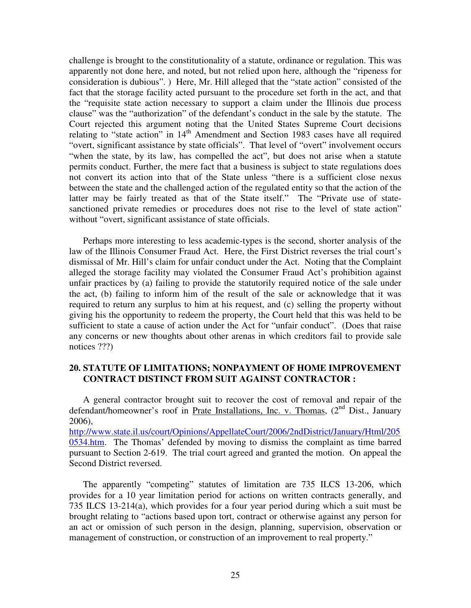challenge is brought to the constitutionality of a statute, ordinance or regulation. This was apparently not done here, and noted, but not relied upon here, although the "ripeness for consideration is dubious". ) Here, Mr. Hill alleged that the "state action" consisted of the fact that the storage facility acted pursuant to the procedure set forth in the act, and that the "requisite state action necessary to support a claim under the Illinois due process clause" was the "authorization" of the defendant's conduct in the sale by the statute. The Court rejected this argument noting that the United States Supreme Court decisions relating to "state action" in 14<sup>th</sup> Amendment and Section 1983 cases have all required "overt, significant assistance by state officials". That level of "overt" involvement occurs "when the state, by its law, has compelled the act", but does not arise when a statute permits conduct. Further, the mere fact that a business is subject to state regulations does not convert its action into that of the State unless "there is a sufficient close nexus between the state and the challenged action of the regulated entity so that the action of the latter may be fairly treated as that of the State itself." The "Private use of statesanctioned private remedies or procedures does not rise to the level of state action" without "overt, significant assistance of state officials.

Perhaps more interesting to less academic-types is the second, shorter analysis of the law of the Illinois Consumer Fraud Act. Here, the First District reverses the trial court's dismissal of Mr. Hill's claim for unfair conduct under the Act. Noting that the Complaint alleged the storage facility may violated the Consumer Fraud Act's prohibition against unfair practices by (a) failing to provide the statutorily required notice of the sale under the act, (b) failing to inform him of the result of the sale or acknowledge that it was required to return any surplus to him at his request, and (c) selling the property without giving his the opportunity to redeem the property, the Court held that this was held to be sufficient to state a cause of action under the Act for "unfair conduct". (Does that raise any concerns or new thoughts about other arenas in which creditors fail to provide sale notices ???)

#### **20. STATUTE OF LIMITATIONS; NONPAYMENT OF HOME IMPROVEMENT CONTRACT DISTINCT FROM SUIT AGAINST CONTRACTOR :**

A general contractor brought suit to recover the cost of removal and repair of the defendant/homeowner's roof in Prate Installations, Inc. v. Thomas, (2<sup>nd</sup> Dist., January 2006),

http://www.state.il.us/court/Opinions/AppellateCourt/2006/2ndDistrict/January/Html/205 0534.htm. The Thomas' defended by moving to dismiss the complaint as time barred pursuant to Section 2-619. The trial court agreed and granted the motion. On appeal the Second District reversed.

The apparently "competing" statutes of limitation are 735 ILCS 13-206, which provides for a 10 year limitation period for actions on written contracts generally, and 735 ILCS 13-214(a), which provides for a four year period during which a suit must be brought relating to "actions based upon tort, contract or otherwise against any person for an act or omission of such person in the design, planning, supervision, observation or management of construction, or construction of an improvement to real property."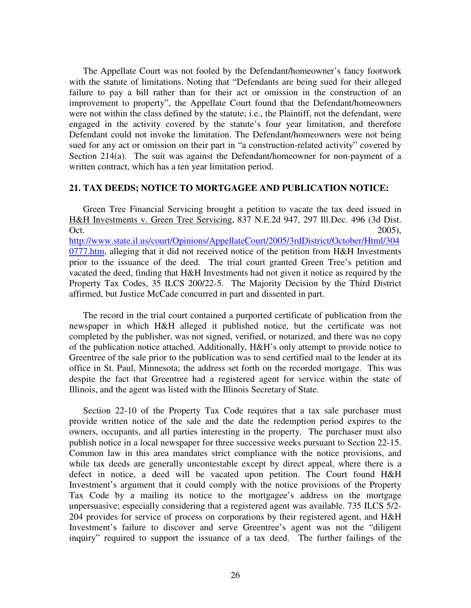The Appellate Court was not fooled by the Defendant/homeowner's fancy footwork with the statute of limitations. Noting that "Defendants are being sued for their alleged failure to pay a bill rather than for their act or omission in the construction of an improvement to property", the Appellate Court found that the Defendant/homeowners were not within the class defined by the statute; i.e., the Plaintiff, not the defendant, were engaged in the activity covered by the statute's four year limitation, and therefore Defendant could not invoke the limitation. The Defendant/homeowners were not being sued for any act or omission on their part in "a construction-related activity" covered by Section 214(a). The suit was against the Defendant/homeowner for non-payment of a written contract, which has a ten year limitation period.

#### **21. TAX DEEDS; NOTICE TO MORTGAGEE AND PUBLICATION NOTICE:**

Green Tree Financial Servicing brought a petition to vacate the tax deed issued in H&H Investments v. Green Tree Servicing, 837 N.E.2d 947, 297 Ill.Dec. 496 (3d Dist. Oct.  $2005$ , http://www.state.il.us/court/Opinions/AppellateCourt/2005/3rdDistrict/October/Html/304 0777.htm, alleging that it did not received notice of the petition from H&H Investments prior to the issuance of the deed. The trial court granted Green Tree's petition and vacated the deed, finding that H&H Investments had not given it notice as required by the Property Tax Codes, 35 ILCS 200/22-5. The Majority Decision by the Third District affirmed, but Justice McCade concurred in part and dissented in part.

The record in the trial court contained a purported certificate of publication from the newspaper in which H&H alleged it published notice, but the certificate was not completed by the publisher, was not signed, verified, or notarized, and there was no copy of the publication notice attached. Additionally, H&H's only attempt to provide notice to Greentree of the sale prior to the publication was to send certified mail to the lender at its office in St. Paul, Minnesota; the address set forth on the recorded mortgage. This was despite the fact that Greentree had a registered agent for service within the state of Illinois, and the agent was listed with the Illinois Secretary of State.

Section 22-10 of the Property Tax Code requires that a tax sale purchaser must provide written notice of the sale and the date the redemption period expires to the owners, occupants, and all parties interesting in the property. The purchaser must also publish notice in a local newspaper for three successive weeks pursuant to Section 22-15. Common law in this area mandates strict compliance with the notice provisions, and while tax deeds are generally uncontestable except by direct appeal, where there is a defect in notice, a deed will be vacated upon petition. The Court found H&H Investment's argument that it could comply with the notice provisions of the Property Tax Code by a mailing its notice to the mortgagee's address on the mortgage unpersuasive; especially considering that a registered agent was available. 735 ILCS 5/2- 204 provides for service of process on corporations by their registered agent, and H&H Investment's failure to discover and serve Greentree's agent was not the "diligent inquiry" required to support the issuance of a tax deed. The further failings of the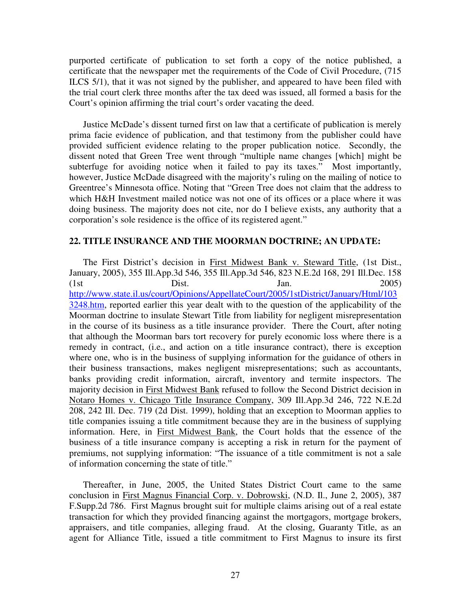purported certificate of publication to set forth a copy of the notice published, a certificate that the newspaper met the requirements of the Code of Civil Procedure, (715 ILCS 5/1), that it was not signed by the publisher, and appeared to have been filed with the trial court clerk three months after the tax deed was issued, all formed a basis for the Court's opinion affirming the trial court's order vacating the deed.

Justice McDade's dissent turned first on law that a certificate of publication is merely prima facie evidence of publication, and that testimony from the publisher could have provided sufficient evidence relating to the proper publication notice. Secondly, the dissent noted that Green Tree went through "multiple name changes [which] might be subterfuge for avoiding notice when it failed to pay its taxes." Most importantly, however, Justice McDade disagreed with the majority's ruling on the mailing of notice to Greentree's Minnesota office. Noting that "Green Tree does not claim that the address to which H&H Investment mailed notice was not one of its offices or a place where it was doing business. The majority does not cite, nor do I believe exists, any authority that a corporation's sole residence is the office of its registered agent."

#### **22. TITLE INSURANCE AND THE MOORMAN DOCTRINE; AN UPDATE:**

The First District's decision in First Midwest Bank v. Steward Title, (1st Dist., January, 2005), 355 Ill.App.3d 546, 355 Ill.App.3d 546, 823 N.E.2d 168, 291 Ill.Dec. 158 (1st Dist. Jan. 2005) http://www.state.il.us/court/Opinions/AppellateCourt/2005/1stDistrict/January/Html/103 3248.htm, reported earlier this year dealt with to the question of the applicability of the Moorman doctrine to insulate Stewart Title from liability for negligent misrepresentation in the course of its business as a title insurance provider. There the Court, after noting that although the Moorman bars tort recovery for purely economic loss where there is a remedy in contract, (i.e., and action on a title insurance contract), there is exception where one, who is in the business of supplying information for the guidance of others in their business transactions, makes negligent misrepresentations; such as accountants, banks providing credit information, aircraft, inventory and termite inspectors. The majority decision in First Midwest Bank refused to follow the Second District decision in Notaro Homes v. Chicago Title Insurance Company, 309 Ill.App.3d 246, 722 N.E.2d 208, 242 Ill. Dec. 719 (2d Dist. 1999), holding that an exception to Moorman applies to title companies issuing a title commitment because they are in the business of supplying information. Here, in First Midwest Bank, the Court holds that the essence of the business of a title insurance company is accepting a risk in return for the payment of premiums, not supplying information: "The issuance of a title commitment is not a sale of information concerning the state of title."

Thereafter, in June, 2005, the United States District Court came to the same conclusion in First Magnus Financial Corp. v. Dobrowski, (N.D. Il., June 2, 2005), 387 F.Supp.2d 786. First Magnus brought suit for multiple claims arising out of a real estate transaction for which they provided financing against the mortgagors, mortgage brokers, appraisers, and title companies, alleging fraud. At the closing, Guaranty Title, as an agent for Alliance Title, issued a title commitment to First Magnus to insure its first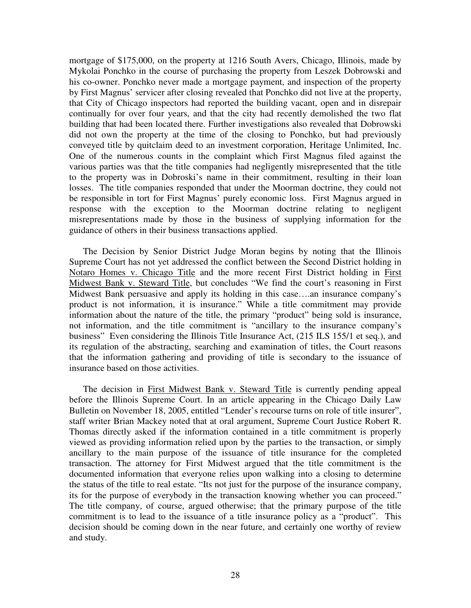mortgage of \$175,000, on the property at 1216 South Avers, Chicago, Illinois, made by Mykolai Ponchko in the course of purchasing the property from Leszek Dobrowski and his co-owner. Ponchko never made a mortgage payment, and inspection of the property by First Magnus' servicer after closing revealed that Ponchko did not live at the property, that City of Chicago inspectors had reported the building vacant, open and in disrepair continually for over four years, and that the city had recently demolished the two flat building that had been located there. Further investigations also revealed that Dobrowski did not own the property at the time of the closing to Ponchko, but had previously conveyed title by quitclaim deed to an investment corporation, Heritage Unlimited, Inc. One of the numerous counts in the complaint which First Magnus filed against the various parties was that the title companies had negligently misrepresented that the title to the property was in Dobroski's name in their commitment, resulting in their loan losses. The title companies responded that under the Moorman doctrine, they could not be responsible in tort for First Magnus' purely economic loss. First Magnus argued in response with the exception to the Moorman doctrine relating to negligent misrepresentations made by those in the business of supplying information for the guidance of others in their business transactions applied.

The Decision by Senior District Judge Moran begins by noting that the Illinois Supreme Court has not yet addressed the conflict between the Second District holding in Notaro Homes v. Chicago Title and the more recent First District holding in First Midwest Bank v. Steward Title, but concludes "We find the court's reasoning in First Midwest Bank persuasive and apply its holding in this case….an insurance company's product is not information, it is insurance." While a title commitment may provide information about the nature of the title, the primary "product" being sold is insurance, not information, and the title commitment is "ancillary to the insurance company's business" Even considering the Illinois Title Insurance Act, (215 ILS 155/1 et seq.), and its regulation of the abstracting, searching and examination of titles, the Court reasons that the information gathering and providing of title is secondary to the issuance of insurance based on those activities.

The decision in First Midwest Bank v. Steward Title is currently pending appeal before the Illinois Supreme Court. In an article appearing in the Chicago Daily Law Bulletin on November 18, 2005, entitled "Lender's recourse turns on role of title insurer", staff writer Brian Mackey noted that at oral argument, Supreme Court Justice Robert R. Thomas directly asked if the information contained in a title commitment is properly viewed as providing information relied upon by the parties to the transaction, or simply ancillary to the main purpose of the issuance of title insurance for the completed transaction. The attorney for First Midwest argued that the title commitment is the documented information that everyone relies upon walking into a closing to determine the status of the title to real estate. "Its not just for the purpose of the insurance company, its for the purpose of everybody in the transaction knowing whether you can proceed." The title company, of course, argued otherwise; that the primary purpose of the title commitment is to lead to the issuance of a title insurance policy as a "product". This decision should be coming down in the near future, and certainly one worthy of review and study.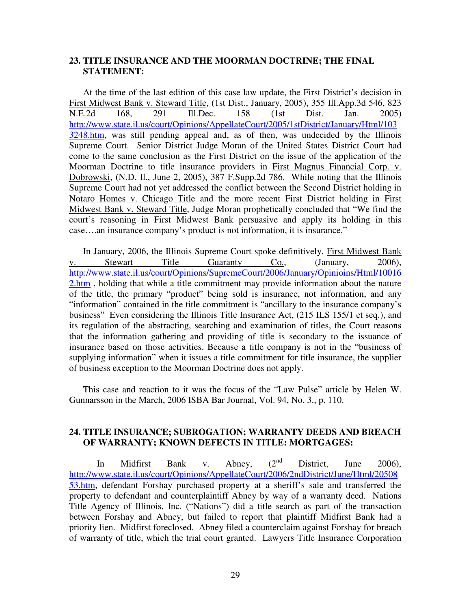#### **23. TITLE INSURANCE AND THE MOORMAN DOCTRINE; THE FINAL STATEMENT:**

At the time of the last edition of this case law update, the First District's decision in First Midwest Bank v. Steward Title, (1st Dist., January, 2005), 355 Ill.App.3d 546, 823 N.E.2d 168, 291 Ill.Dec. 158 (1st Dist. Jan. 2005) http://www.state.il.us/court/Opinions/AppellateCourt/2005/1stDistrict/January/Html/103 3248.htm, was still pending appeal and, as of then, was undecided by the Illinois Supreme Court. Senior District Judge Moran of the United States District Court had come to the same conclusion as the First District on the issue of the application of the Moorman Doctrine to title insurance providers in First Magnus Financial Corp. v. Dobrowski, (N.D. Il., June 2, 2005), 387 F.Supp.2d 786. While noting that the Illinois Supreme Court had not yet addressed the conflict between the Second District holding in Notaro Homes v. Chicago Title and the more recent First District holding in First Midwest Bank v. Steward Title, Judge Moran prophetically concluded that "We find the court's reasoning in First Midwest Bank persuasive and apply its holding in this case….an insurance company's product is not information, it is insurance."

In January, 2006, the Illinois Supreme Court spoke definitively, First Midwest Bank v. Stewart Title Guaranty Co., (January, 2006), http://www.state.il.us/court/Opinions/SupremeCourt/2006/January/Opinioins/Html/10016 2.htm, holding that while a title commitment may provide information about the nature of the title, the primary "product" being sold is insurance, not information, and any "information" contained in the title commitment is "ancillary to the insurance company's business" Even considering the Illinois Title Insurance Act, (215 ILS 155/1 et seq.), and its regulation of the abstracting, searching and examination of titles, the Court reasons that the information gathering and providing of title is secondary to the issuance of insurance based on those activities. Because a title company is not in the "business of supplying information" when it issues a title commitment for title insurance, the supplier of business exception to the Moorman Doctrine does not apply.

This case and reaction to it was the focus of the "Law Pulse" article by Helen W. Gunnarsson in the March, 2006 ISBA Bar Journal, Vol. 94, No. 3., p. 110.

### **24. TITLE INSURANCE; SUBROGATION; WARRANTY DEEDS AND BREACH OF WARRANTY; KNOWN DEFECTS IN TITLE: MORTGAGES:**

In Midfirst Bank v. Abney,  $(2^{nd}$  District, June 2006), http://www.state.il.us/court/Opinions/AppellateCourt/2006/2ndDistrict/June/Html/20508 53.htm, defendant Forshay purchased property at a sheriff's sale and transferred the property to defendant and counterplaintiff Abney by way of a warranty deed. Nations Title Agency of Illinois, Inc. ("Nations") did a title search as part of the transaction between Forshay and Abney, but failed to report that plaintiff Midfirst Bank had a priority lien. Midfirst foreclosed. Abney filed a counterclaim against Forshay for breach of warranty of title, which the trial court granted. Lawyers Title Insurance Corporation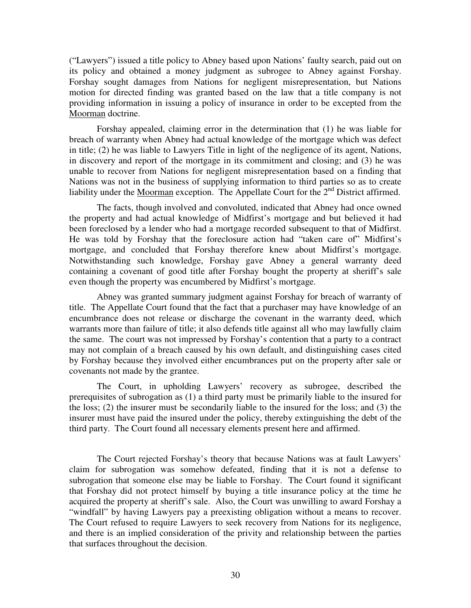("Lawyers") issued a title policy to Abney based upon Nations' faulty search, paid out on its policy and obtained a money judgment as subrogee to Abney against Forshay. Forshay sought damages from Nations for negligent misrepresentation, but Nations motion for directed finding was granted based on the law that a title company is not providing information in issuing a policy of insurance in order to be excepted from the Moorman doctrine.

Forshay appealed, claiming error in the determination that (1) he was liable for breach of warranty when Abney had actual knowledge of the mortgage which was defect in title; (2) he was liable to Lawyers Title in light of the negligence of its agent, Nations, in discovery and report of the mortgage in its commitment and closing; and (3) he was unable to recover from Nations for negligent misrepresentation based on a finding that Nations was not in the business of supplying information to third parties so as to create liability under the Moorman exception. The Appellate Court for the  $2<sup>nd</sup>$  District affirmed.

The facts, though involved and convoluted, indicated that Abney had once owned the property and had actual knowledge of Midfirst's mortgage and but believed it had been foreclosed by a lender who had a mortgage recorded subsequent to that of Midfirst. He was told by Forshay that the foreclosure action had "taken care of" Midfirst's mortgage, and concluded that Forshay therefore knew about Midfirst's mortgage. Notwithstanding such knowledge, Forshay gave Abney a general warranty deed containing a covenant of good title after Forshay bought the property at sheriff's sale even though the property was encumbered by Midfirst's mortgage.

Abney was granted summary judgment against Forshay for breach of warranty of title. The Appellate Court found that the fact that a purchaser may have knowledge of an encumbrance does not release or discharge the covenant in the warranty deed, which warrants more than failure of title; it also defends title against all who may lawfully claim the same. The court was not impressed by Forshay's contention that a party to a contract may not complain of a breach caused by his own default, and distinguishing cases cited by Forshay because they involved either encumbrances put on the property after sale or covenants not made by the grantee.

The Court, in upholding Lawyers' recovery as subrogee, described the prerequisites of subrogation as (1) a third party must be primarily liable to the insured for the loss; (2) the insurer must be secondarily liable to the insured for the loss; and (3) the insurer must have paid the insured under the policy, thereby extinguishing the debt of the third party. The Court found all necessary elements present here and affirmed.

The Court rejected Forshay's theory that because Nations was at fault Lawyers' claim for subrogation was somehow defeated, finding that it is not a defense to subrogation that someone else may be liable to Forshay. The Court found it significant that Forshay did not protect himself by buying a title insurance policy at the time he acquired the property at sheriff's sale. Also, the Court was unwilling to award Forshay a "windfall" by having Lawyers pay a preexisting obligation without a means to recover. The Court refused to require Lawyers to seek recovery from Nations for its negligence, and there is an implied consideration of the privity and relationship between the parties that surfaces throughout the decision.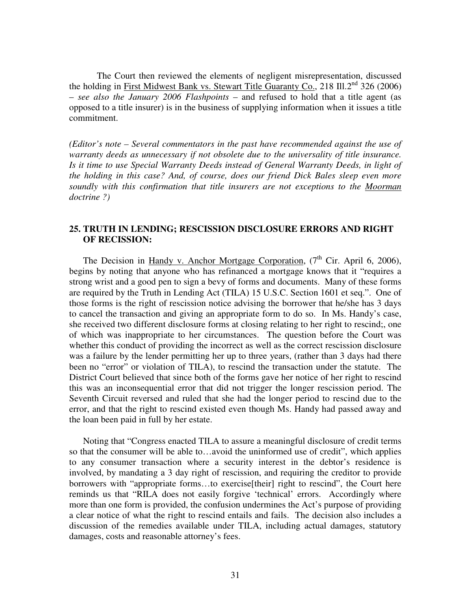The Court then reviewed the elements of negligent misrepresentation, discussed the holding in First Midwest Bank vs. Stewart Title Guaranty Co., 218 Ill. $2<sup>nd</sup>$  326 (2006) – *see also the January 2006 Flashpoints* – and refused to hold that a title agent (as opposed to a title insurer) is in the business of supplying information when it issues a title commitment.

*(Editor's note – Several commentators in the past have recommended against the use of warranty deeds as unnecessary if not obsolete due to the universality of title insurance. Is it time to use Special Warranty Deeds instead of General Warranty Deeds, in light of the holding in this case? And, of course, does our friend Dick Bales sleep even more soundly with this confirmation that title insurers are not exceptions to the Moorman doctrine ?)* 

### **25. TRUTH IN LENDING; RESCISSION DISCLOSURE ERRORS AND RIGHT OF RECISSION:**

The Decision in Handy v. Anchor Mortgage Corporation,  $(7<sup>th</sup>$  Cir. April 6, 2006), begins by noting that anyone who has refinanced a mortgage knows that it "requires a strong wrist and a good pen to sign a bevy of forms and documents. Many of these forms are required by the Truth in Lending Act (TILA) 15 U.S.C. Section 1601 et seq.". One of those forms is the right of rescission notice advising the borrower that he/she has 3 days to cancel the transaction and giving an appropriate form to do so. In Ms. Handy's case, she received two different disclosure forms at closing relating to her right to rescind;, one of which was inappropriate to her circumstances. The question before the Court was whether this conduct of providing the incorrect as well as the correct rescission disclosure was a failure by the lender permitting her up to three years, (rather than 3 days had there been no "error" or violation of TILA), to rescind the transaction under the statute. The District Court believed that since both of the forms gave her notice of her right to rescind this was an inconsequential error that did not trigger the longer rescission period. The Seventh Circuit reversed and ruled that she had the longer period to rescind due to the error, and that the right to rescind existed even though Ms. Handy had passed away and the loan been paid in full by her estate.

Noting that "Congress enacted TILA to assure a meaningful disclosure of credit terms so that the consumer will be able to…avoid the uninformed use of credit", which applies to any consumer transaction where a security interest in the debtor's residence is involved, by mandating a 3 day right of rescission, and requiring the creditor to provide borrowers with "appropriate forms…to exercise[their] right to rescind", the Court here reminds us that "RILA does not easily forgive 'technical' errors. Accordingly where more than one form is provided, the confusion undermines the Act's purpose of providing a clear notice of what the right to rescind entails and fails. The decision also includes a discussion of the remedies available under TILA, including actual damages, statutory damages, costs and reasonable attorney's fees.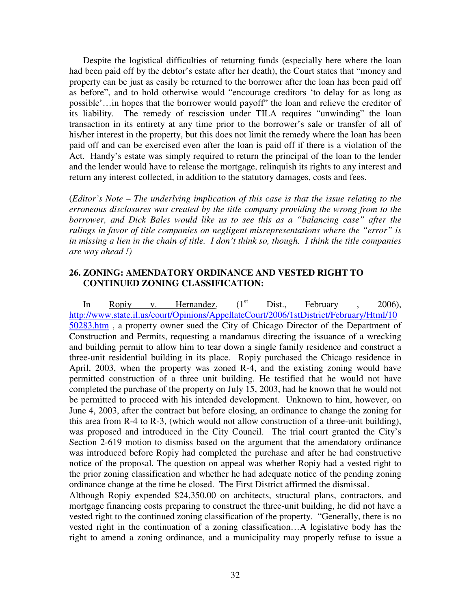Despite the logistical difficulties of returning funds (especially here where the loan had been paid off by the debtor's estate after her death), the Court states that "money and property can be just as easily be returned to the borrower after the loan has been paid off as before", and to hold otherwise would "encourage creditors 'to delay for as long as possible'…in hopes that the borrower would payoff" the loan and relieve the creditor of its liability. The remedy of rescission under TILA requires "unwinding" the loan transaction in its entirety at any time prior to the borrower's sale or transfer of all of his/her interest in the property, but this does not limit the remedy where the loan has been paid off and can be exercised even after the loan is paid off if there is a violation of the Act. Handy's estate was simply required to return the principal of the loan to the lender and the lender would have to release the mortgage, relinquish its rights to any interest and return any interest collected, in addition to the statutory damages, costs and fees.

(*Editor's Note – The underlying implication of this case is that the issue relating to the erroneous disclosures was created by the title company providing the wrong from to the borrower, and Dick Bales would like us to see this as a "balancing case" after the rulings in favor of title companies on negligent misrepresentations where the "error" is in missing a lien in the chain of title. I don't think so, though. I think the title companies are way ahead !)* 

### **26. ZONING: AMENDATORY ORDINANCE AND VESTED RIGHT TO CONTINUED ZONING CLASSIFICATION:**

In Ropiy v. Hernandez,  $(1<sup>st</sup>$  Dist., February , 2006), http://www.state.il.us/court/Opinions/AppellateCourt/2006/1stDistrict/February/Html/10 50283.htm , a property owner sued the City of Chicago Director of the Department of Construction and Permits, requesting a mandamus directing the issuance of a wrecking and building permit to allow him to tear down a single family residence and construct a three-unit residential building in its place. Ropiy purchased the Chicago residence in April, 2003, when the property was zoned R-4, and the existing zoning would have permitted construction of a three unit building. He testified that he would not have completed the purchase of the property on July 15, 2003, had he known that he would not be permitted to proceed with his intended development. Unknown to him, however, on June 4, 2003, after the contract but before closing, an ordinance to change the zoning for this area from R-4 to R-3, (which would not allow construction of a three-unit building), was proposed and introduced in the City Council. The trial court granted the City's Section 2-619 motion to dismiss based on the argument that the amendatory ordinance was introduced before Ropiy had completed the purchase and after he had constructive notice of the proposal. The question on appeal was whether Ropiy had a vested right to the prior zoning classification and whether he had adequate notice of the pending zoning ordinance change at the time he closed. The First District affirmed the dismissal.

Although Ropiy expended \$24,350.00 on architects, structural plans, contractors, and mortgage financing costs preparing to construct the three-unit building, he did not have a vested right to the continued zoning classification of the property. "Generally, there is no vested right in the continuation of a zoning classification…A legislative body has the right to amend a zoning ordinance, and a municipality may properly refuse to issue a